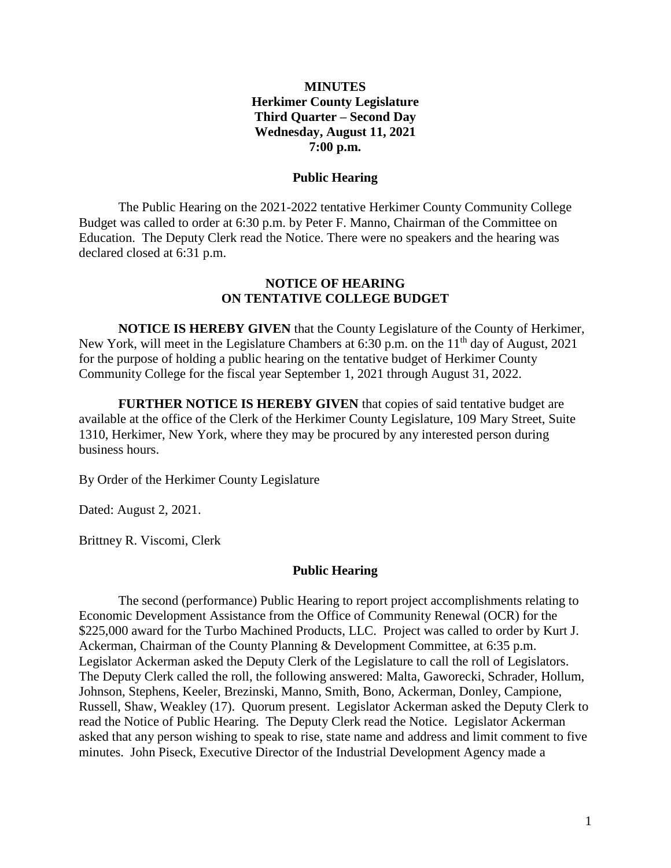### **MINUTES Herkimer County Legislature Third Quarter – Second Day Wednesday, August 11, 2021 7:00 p.m.**

### **Public Hearing**

The Public Hearing on the 2021-2022 tentative Herkimer County Community College Budget was called to order at 6:30 p.m. by Peter F. Manno, Chairman of the Committee on Education. The Deputy Clerk read the Notice. There were no speakers and the hearing was declared closed at 6:31 p.m.

### **NOTICE OF HEARING ON TENTATIVE COLLEGE BUDGET**

**NOTICE IS HEREBY GIVEN** that the County Legislature of the County of Herkimer, New York, will meet in the Legislature Chambers at 6:30 p.m. on the  $11<sup>th</sup>$  day of August, 2021 for the purpose of holding a public hearing on the tentative budget of Herkimer County Community College for the fiscal year September 1, 2021 through August 31, 2022.

**FURTHER NOTICE IS HEREBY GIVEN** that copies of said tentative budget are available at the office of the Clerk of the Herkimer County Legislature, 109 Mary Street, Suite 1310, Herkimer, New York, where they may be procured by any interested person during business hours.

By Order of the Herkimer County Legislature

Dated: August 2, 2021.

Brittney R. Viscomi, Clerk

### **Public Hearing**

The second (performance) Public Hearing to report project accomplishments relating to Economic Development Assistance from the Office of Community Renewal (OCR) for the \$225,000 award for the Turbo Machined Products, LLC. Project was called to order by Kurt J. Ackerman, Chairman of the County Planning & Development Committee, at 6:35 p.m. Legislator Ackerman asked the Deputy Clerk of the Legislature to call the roll of Legislators. The Deputy Clerk called the roll, the following answered: Malta, Gaworecki, Schrader, Hollum, Johnson, Stephens, Keeler, Brezinski, Manno, Smith, Bono, Ackerman, Donley, Campione, Russell, Shaw, Weakley (17). Quorum present. Legislator Ackerman asked the Deputy Clerk to read the Notice of Public Hearing. The Deputy Clerk read the Notice. Legislator Ackerman asked that any person wishing to speak to rise, state name and address and limit comment to five minutes. John Piseck, Executive Director of the Industrial Development Agency made a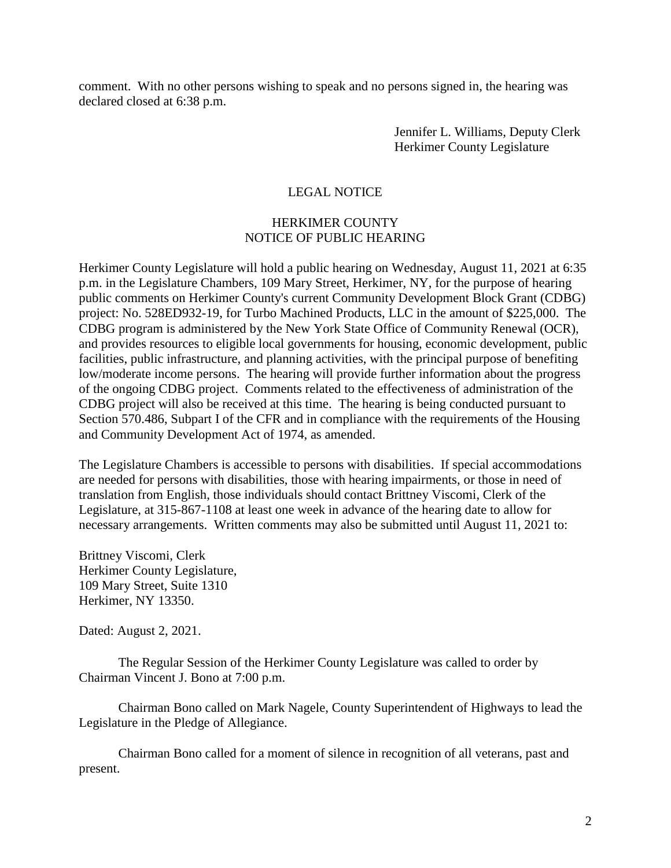comment. With no other persons wishing to speak and no persons signed in, the hearing was declared closed at 6:38 p.m.

> Jennifer L. Williams, Deputy Clerk Herkimer County Legislature

# LEGAL NOTICE

# HERKIMER COUNTY NOTICE OF PUBLIC HEARING

Herkimer County Legislature will hold a public hearing on Wednesday, August 11, 2021 at 6:35 p.m. in the Legislature Chambers, 109 Mary Street, Herkimer, NY, for the purpose of hearing public comments on Herkimer County's current Community Development Block Grant (CDBG) project: No. 528ED932-19, for Turbo Machined Products, LLC in the amount of \$225,000. The CDBG program is administered by the New York State Office of Community Renewal (OCR), and provides resources to eligible local governments for housing, economic development, public facilities, public infrastructure, and planning activities, with the principal purpose of benefiting low/moderate income persons. The hearing will provide further information about the progress of the ongoing CDBG project. Comments related to the effectiveness of administration of the CDBG project will also be received at this time. The hearing is being conducted pursuant to Section 570.486, Subpart I of the CFR and in compliance with the requirements of the Housing and Community Development Act of 1974, as amended.

The Legislature Chambers is accessible to persons with disabilities. If special accommodations are needed for persons with disabilities, those with hearing impairments, or those in need of translation from English, those individuals should contact Brittney Viscomi, Clerk of the Legislature, at 315-867-1108 at least one week in advance of the hearing date to allow for necessary arrangements. Written comments may also be submitted until August 11, 2021 to:

Brittney Viscomi, Clerk Herkimer County Legislature, 109 Mary Street, Suite 1310 Herkimer, NY 13350.

Dated: August 2, 2021.

The Regular Session of the Herkimer County Legislature was called to order by Chairman Vincent J. Bono at 7:00 p.m.

Chairman Bono called on Mark Nagele, County Superintendent of Highways to lead the Legislature in the Pledge of Allegiance.

Chairman Bono called for a moment of silence in recognition of all veterans, past and present.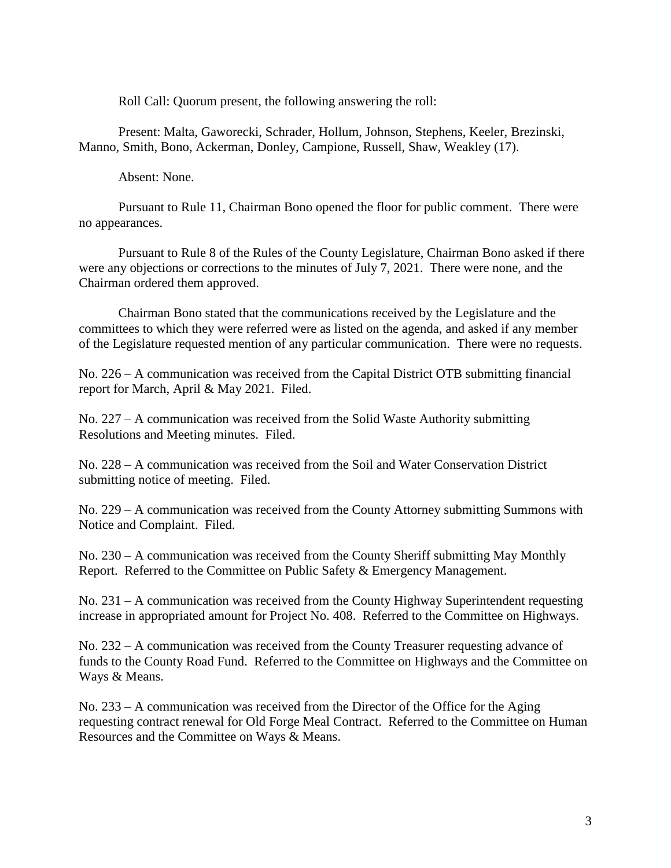Roll Call: Quorum present, the following answering the roll:

Present: Malta, Gaworecki, Schrader, Hollum, Johnson, Stephens, Keeler, Brezinski, Manno, Smith, Bono, Ackerman, Donley, Campione, Russell, Shaw, Weakley (17).

Absent: None.

Pursuant to Rule 11, Chairman Bono opened the floor for public comment. There were no appearances.

Pursuant to Rule 8 of the Rules of the County Legislature, Chairman Bono asked if there were any objections or corrections to the minutes of July 7, 2021. There were none, and the Chairman ordered them approved.

Chairman Bono stated that the communications received by the Legislature and the committees to which they were referred were as listed on the agenda, and asked if any member of the Legislature requested mention of any particular communication. There were no requests.

No. 226 – A communication was received from the Capital District OTB submitting financial report for March, April & May 2021. Filed.

No. 227 – A communication was received from the Solid Waste Authority submitting Resolutions and Meeting minutes. Filed.

No. 228 – A communication was received from the Soil and Water Conservation District submitting notice of meeting. Filed.

No. 229 – A communication was received from the County Attorney submitting Summons with Notice and Complaint. Filed.

No. 230 – A communication was received from the County Sheriff submitting May Monthly Report. Referred to the Committee on Public Safety & Emergency Management.

No. 231 – A communication was received from the County Highway Superintendent requesting increase in appropriated amount for Project No. 408. Referred to the Committee on Highways.

No. 232 – A communication was received from the County Treasurer requesting advance of funds to the County Road Fund. Referred to the Committee on Highways and the Committee on Ways & Means.

No. 233 – A communication was received from the Director of the Office for the Aging requesting contract renewal for Old Forge Meal Contract. Referred to the Committee on Human Resources and the Committee on Ways & Means.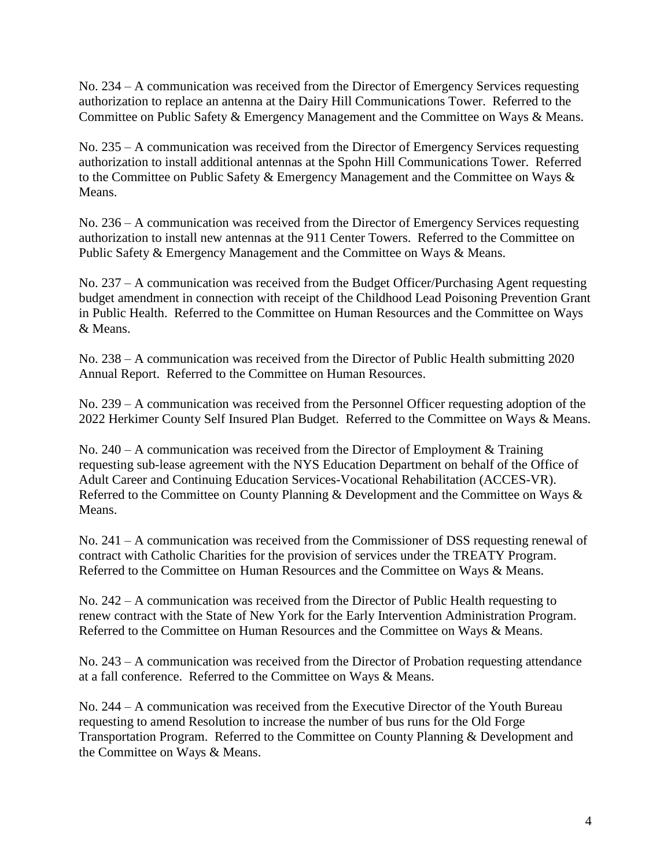No. 234 – A communication was received from the Director of Emergency Services requesting authorization to replace an antenna at the Dairy Hill Communications Tower. Referred to the Committee on Public Safety & Emergency Management and the Committee on Ways & Means.

No. 235 – A communication was received from the Director of Emergency Services requesting authorization to install additional antennas at the Spohn Hill Communications Tower. Referred to the Committee on Public Safety & Emergency Management and the Committee on Ways & Means.

No. 236 – A communication was received from the Director of Emergency Services requesting authorization to install new antennas at the 911 Center Towers. Referred to the Committee on Public Safety & Emergency Management and the Committee on Ways & Means.

No. 237 – A communication was received from the Budget Officer/Purchasing Agent requesting budget amendment in connection with receipt of the Childhood Lead Poisoning Prevention Grant in Public Health. Referred to the Committee on Human Resources and the Committee on Ways & Means.

No. 238 – A communication was received from the Director of Public Health submitting 2020 Annual Report. Referred to the Committee on Human Resources.

No. 239 – A communication was received from the Personnel Officer requesting adoption of the 2022 Herkimer County Self Insured Plan Budget. Referred to the Committee on Ways & Means.

No. 240 – A communication was received from the Director of Employment & Training requesting sub-lease agreement with the NYS Education Department on behalf of the Office of Adult Career and Continuing Education Services-Vocational Rehabilitation (ACCES-VR). Referred to the Committee on County Planning & Development and the Committee on Ways & Means.

No. 241 – A communication was received from the Commissioner of DSS requesting renewal of contract with Catholic Charities for the provision of services under the TREATY Program. Referred to the Committee on Human Resources and the Committee on Ways & Means.

No. 242 – A communication was received from the Director of Public Health requesting to renew contract with the State of New York for the Early Intervention Administration Program. Referred to the Committee on Human Resources and the Committee on Ways & Means.

No. 243 – A communication was received from the Director of Probation requesting attendance at a fall conference. Referred to the Committee on Ways & Means.

No. 244 – A communication was received from the Executive Director of the Youth Bureau requesting to amend Resolution to increase the number of bus runs for the Old Forge Transportation Program. Referred to the Committee on County Planning & Development and the Committee on Ways & Means.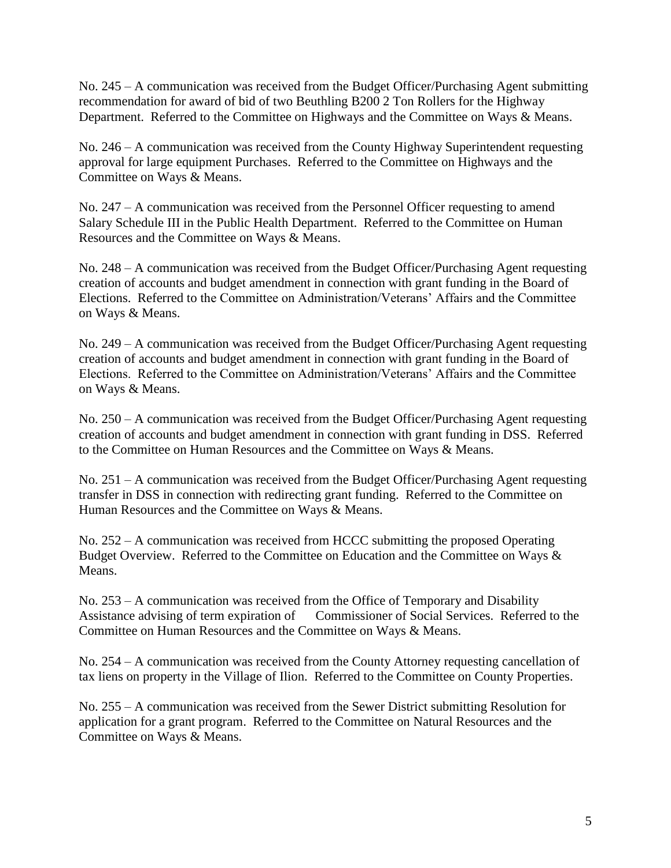No. 245 – A communication was received from the Budget Officer/Purchasing Agent submitting recommendation for award of bid of two Beuthling B200 2 Ton Rollers for the Highway Department. Referred to the Committee on Highways and the Committee on Ways & Means.

No. 246 – A communication was received from the County Highway Superintendent requesting approval for large equipment Purchases. Referred to the Committee on Highways and the Committee on Ways & Means.

No. 247 – A communication was received from the Personnel Officer requesting to amend Salary Schedule III in the Public Health Department. Referred to the Committee on Human Resources and the Committee on Ways & Means.

No. 248 – A communication was received from the Budget Officer/Purchasing Agent requesting creation of accounts and budget amendment in connection with grant funding in the Board of Elections. Referred to the Committee on Administration/Veterans' Affairs and the Committee on Ways & Means.

No. 249 – A communication was received from the Budget Officer/Purchasing Agent requesting creation of accounts and budget amendment in connection with grant funding in the Board of Elections. Referred to the Committee on Administration/Veterans' Affairs and the Committee on Ways & Means.

No. 250 – A communication was received from the Budget Officer/Purchasing Agent requesting creation of accounts and budget amendment in connection with grant funding in DSS. Referred to the Committee on Human Resources and the Committee on Ways & Means.

No. 251 – A communication was received from the Budget Officer/Purchasing Agent requesting transfer in DSS in connection with redirecting grant funding. Referred to the Committee on Human Resources and the Committee on Ways & Means.

No. 252 – A communication was received from HCCC submitting the proposed Operating Budget Overview. Referred to the Committee on Education and the Committee on Ways & Means.

No. 253 – A communication was received from the Office of Temporary and Disability Assistance advising of term expiration of Commissioner of Social Services. Referred to the Committee on Human Resources and the Committee on Ways & Means.

No. 254 – A communication was received from the County Attorney requesting cancellation of tax liens on property in the Village of Ilion. Referred to the Committee on County Properties.

No. 255 – A communication was received from the Sewer District submitting Resolution for application for a grant program. Referred to the Committee on Natural Resources and the Committee on Ways & Means.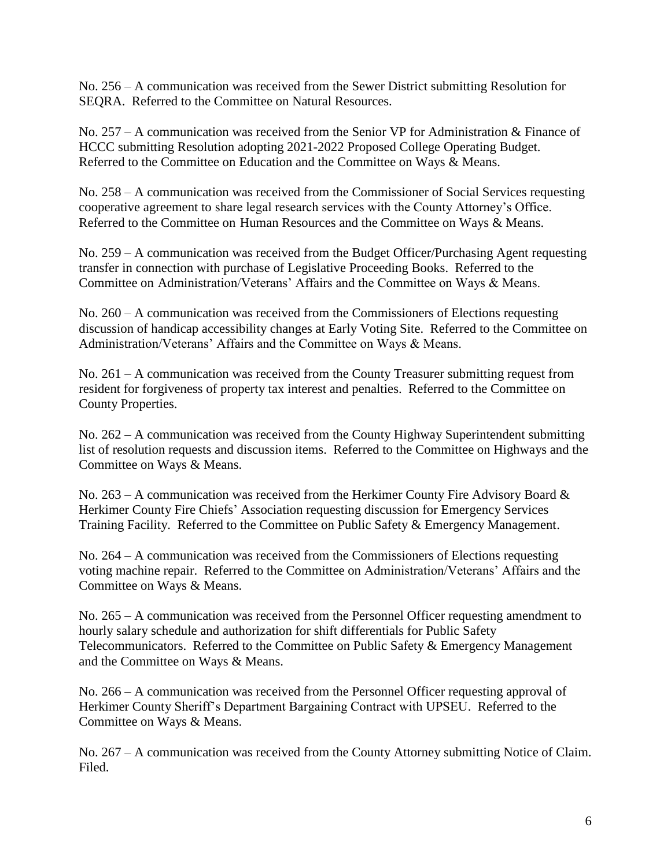No. 256 – A communication was received from the Sewer District submitting Resolution for SEQRA. Referred to the Committee on Natural Resources.

No. 257 – A communication was received from the Senior VP for Administration & Finance of HCCC submitting Resolution adopting 2021-2022 Proposed College Operating Budget. Referred to the Committee on Education and the Committee on Ways & Means.

No. 258 – A communication was received from the Commissioner of Social Services requesting cooperative agreement to share legal research services with the County Attorney's Office. Referred to the Committee on Human Resources and the Committee on Ways & Means.

No. 259 – A communication was received from the Budget Officer/Purchasing Agent requesting transfer in connection with purchase of Legislative Proceeding Books. Referred to the Committee on Administration/Veterans' Affairs and the Committee on Ways & Means.

No. 260 – A communication was received from the Commissioners of Elections requesting discussion of handicap accessibility changes at Early Voting Site. Referred to the Committee on Administration/Veterans' Affairs and the Committee on Ways & Means.

No. 261 – A communication was received from the County Treasurer submitting request from resident for forgiveness of property tax interest and penalties. Referred to the Committee on County Properties.

No. 262 – A communication was received from the County Highway Superintendent submitting list of resolution requests and discussion items. Referred to the Committee on Highways and the Committee on Ways & Means.

No. 263 – A communication was received from the Herkimer County Fire Advisory Board  $\&$ Herkimer County Fire Chiefs' Association requesting discussion for Emergency Services Training Facility. Referred to the Committee on Public Safety & Emergency Management.

No. 264 – A communication was received from the Commissioners of Elections requesting voting machine repair. Referred to the Committee on Administration/Veterans' Affairs and the Committee on Ways & Means.

No. 265 – A communication was received from the Personnel Officer requesting amendment to hourly salary schedule and authorization for shift differentials for Public Safety Telecommunicators. Referred to the Committee on Public Safety & Emergency Management and the Committee on Ways & Means.

No. 266 – A communication was received from the Personnel Officer requesting approval of Herkimer County Sheriff's Department Bargaining Contract with UPSEU. Referred to the Committee on Ways & Means.

No. 267 – A communication was received from the County Attorney submitting Notice of Claim. Filed.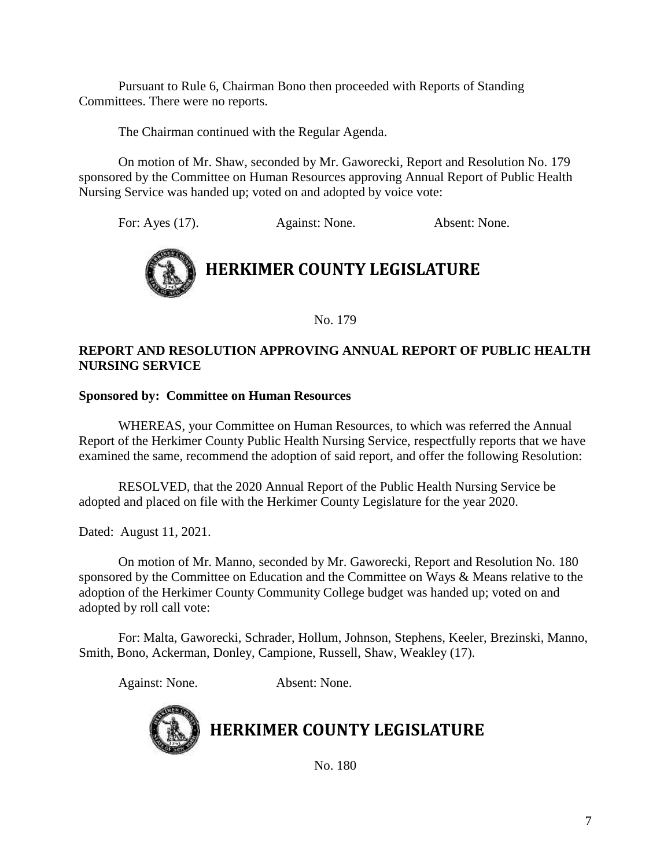Pursuant to Rule 6, Chairman Bono then proceeded with Reports of Standing Committees. There were no reports.

The Chairman continued with the Regular Agenda.

On motion of Mr. Shaw, seconded by Mr. Gaworecki, Report and Resolution No. 179 sponsored by the Committee on Human Resources approving Annual Report of Public Health Nursing Service was handed up; voted on and adopted by voice vote:

For: Ayes (17). Against: None. Absent: None.



No. 179

# **REPORT AND RESOLUTION APPROVING ANNUAL REPORT OF PUBLIC HEALTH NURSING SERVICE**

### **Sponsored by: Committee on Human Resources**

WHEREAS, your Committee on Human Resources, to which was referred the Annual Report of the Herkimer County Public Health Nursing Service, respectfully reports that we have examined the same, recommend the adoption of said report, and offer the following Resolution:

RESOLVED, that the 2020 Annual Report of the Public Health Nursing Service be adopted and placed on file with the Herkimer County Legislature for the year 2020.

Dated: August 11, 2021.

On motion of Mr. Manno, seconded by Mr. Gaworecki, Report and Resolution No. 180 sponsored by the Committee on Education and the Committee on Ways & Means relative to the adoption of the Herkimer County Community College budget was handed up; voted on and adopted by roll call vote:

For: Malta, Gaworecki, Schrader, Hollum, Johnson, Stephens, Keeler, Brezinski, Manno, Smith, Bono, Ackerman, Donley, Campione, Russell, Shaw, Weakley (17).

Against: None. Absent: None.

# **HERKIMER COUNTY LEGISLATURE**

No. 180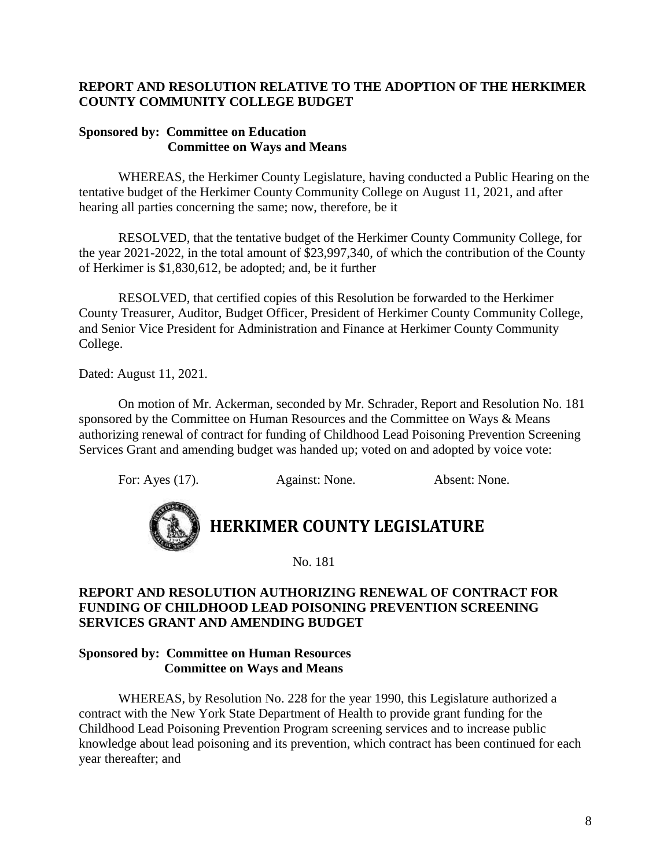# **REPORT AND RESOLUTION RELATIVE TO THE ADOPTION OF THE HERKIMER COUNTY COMMUNITY COLLEGE BUDGET**

### **Sponsored by: Committee on Education Committee on Ways and Means**

WHEREAS, the Herkimer County Legislature, having conducted a Public Hearing on the tentative budget of the Herkimer County Community College on August 11, 2021, and after hearing all parties concerning the same; now, therefore, be it

RESOLVED, that the tentative budget of the Herkimer County Community College, for the year 2021-2022, in the total amount of \$23,997,340, of which the contribution of the County of Herkimer is \$1,830,612, be adopted; and, be it further

RESOLVED, that certified copies of this Resolution be forwarded to the Herkimer County Treasurer, Auditor, Budget Officer, President of Herkimer County Community College, and Senior Vice President for Administration and Finance at Herkimer County Community College.

Dated: August 11, 2021.

On motion of Mr. Ackerman, seconded by Mr. Schrader, Report and Resolution No. 181 sponsored by the Committee on Human Resources and the Committee on Ways & Means authorizing renewal of contract for funding of Childhood Lead Poisoning Prevention Screening Services Grant and amending budget was handed up; voted on and adopted by voice vote:

For: Ayes (17). Against: None. Absent: None.



# **HERKIMER COUNTY LEGISLATURE**

No. 181

# **REPORT AND RESOLUTION AUTHORIZING RENEWAL OF CONTRACT FOR FUNDING OF CHILDHOOD LEAD POISONING PREVENTION SCREENING SERVICES GRANT AND AMENDING BUDGET**

### **Sponsored by: Committee on Human Resources Committee on Ways and Means**

WHEREAS, by Resolution No. 228 for the year 1990, this Legislature authorized a contract with the New York State Department of Health to provide grant funding for the Childhood Lead Poisoning Prevention Program screening services and to increase public knowledge about lead poisoning and its prevention, which contract has been continued for each year thereafter; and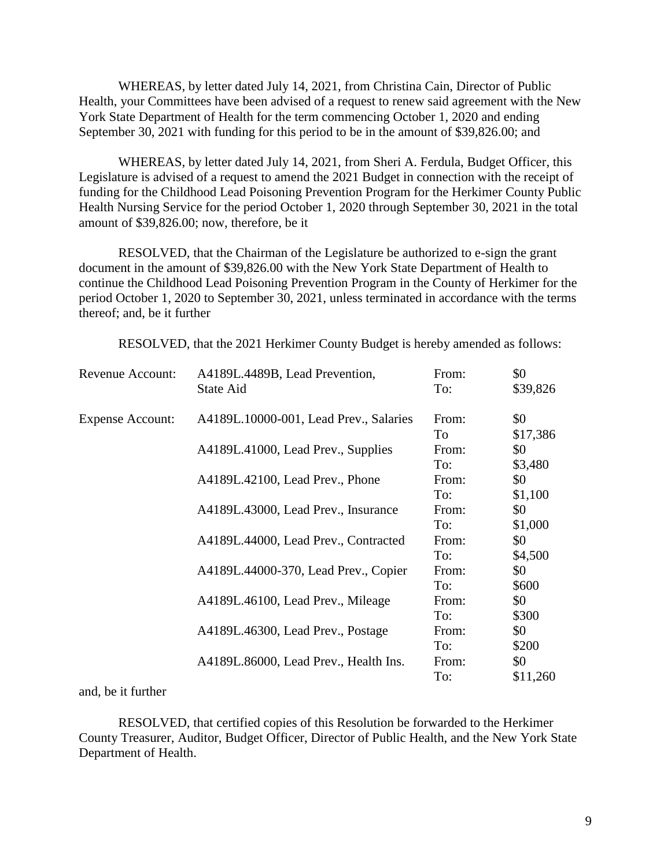WHEREAS, by letter dated July 14, 2021, from Christina Cain, Director of Public Health, your Committees have been advised of a request to renew said agreement with the New York State Department of Health for the term commencing October 1, 2020 and ending September 30, 2021 with funding for this period to be in the amount of \$39,826.00; and

WHEREAS, by letter dated July 14, 2021, from Sheri A. Ferdula, Budget Officer, this Legislature is advised of a request to amend the 2021 Budget in connection with the receipt of funding for the Childhood Lead Poisoning Prevention Program for the Herkimer County Public Health Nursing Service for the period October 1, 2020 through September 30, 2021 in the total amount of \$39,826.00; now, therefore, be it

RESOLVED, that the Chairman of the Legislature be authorized to e-sign the grant document in the amount of \$39,826.00 with the New York State Department of Health to continue the Childhood Lead Poisoning Prevention Program in the County of Herkimer for the period October 1, 2020 to September 30, 2021, unless terminated in accordance with the terms thereof; and, be it further

RESOLVED, that the 2021 Herkimer County Budget is hereby amended as follows:

| Revenue Account:        | A4189L.4489B, Lead Prevention,         | From: | \$0      |
|-------------------------|----------------------------------------|-------|----------|
|                         | State Aid                              | To:   | \$39,826 |
| <b>Expense Account:</b> | A4189L.10000-001, Lead Prev., Salaries | From: | \$0      |
|                         |                                        | To    | \$17,386 |
|                         | A4189L.41000, Lead Prev., Supplies     | From: | \$0      |
|                         |                                        | To:   | \$3,480  |
|                         | A4189L.42100, Lead Prev., Phone        | From: | \$0      |
|                         |                                        | To:   | \$1,100  |
|                         | A4189L.43000, Lead Prev., Insurance    | From: | \$0      |
|                         |                                        | To:   | \$1,000  |
|                         | A4189L.44000, Lead Prev., Contracted   | From: | \$0      |
|                         |                                        | To:   | \$4,500  |
|                         | A4189L.44000-370, Lead Prev., Copier   | From: | \$0      |
|                         |                                        | To:   | \$600    |
|                         | A4189L.46100, Lead Prev., Mileage      | From: | \$0      |
|                         |                                        | To:   | \$300    |
|                         | A4189L.46300, Lead Prev., Postage      | From: | \$0      |
|                         |                                        | To:   | \$200    |
|                         | A4189L.86000, Lead Prev., Health Ins.  | From: | \$0      |
|                         |                                        | To:   | \$11,260 |

#### and, be it further

RESOLVED, that certified copies of this Resolution be forwarded to the Herkimer County Treasurer, Auditor, Budget Officer, Director of Public Health, and the New York State Department of Health.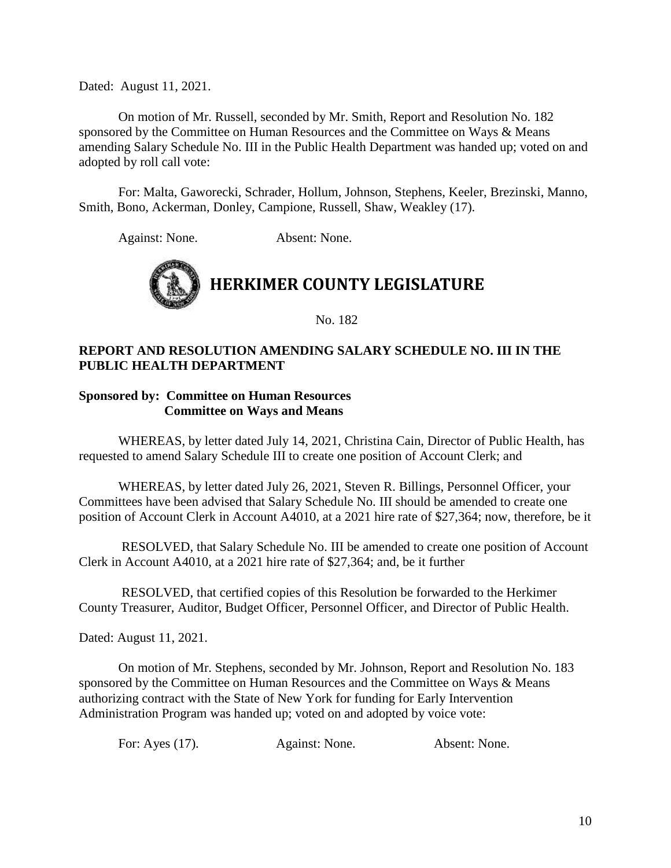Dated: August 11, 2021.

On motion of Mr. Russell, seconded by Mr. Smith, Report and Resolution No. 182 sponsored by the Committee on Human Resources and the Committee on Ways & Means amending Salary Schedule No. III in the Public Health Department was handed up; voted on and adopted by roll call vote:

For: Malta, Gaworecki, Schrader, Hollum, Johnson, Stephens, Keeler, Brezinski, Manno, Smith, Bono, Ackerman, Donley, Campione, Russell, Shaw, Weakley (17).

Against: None. Absent: None.



No. 182

### **REPORT AND RESOLUTION AMENDING SALARY SCHEDULE NO. III IN THE PUBLIC HEALTH DEPARTMENT**

### **Sponsored by: Committee on Human Resources Committee on Ways and Means**

WHEREAS, by letter dated July 14, 2021, Christina Cain, Director of Public Health, has requested to amend Salary Schedule III to create one position of Account Clerk; and

WHEREAS, by letter dated July 26, 2021, Steven R. Billings, Personnel Officer, your Committees have been advised that Salary Schedule No. III should be amended to create one position of Account Clerk in Account A4010, at a 2021 hire rate of \$27,364; now, therefore, be it

RESOLVED, that Salary Schedule No. III be amended to create one position of Account Clerk in Account A4010, at a 2021 hire rate of \$27,364; and, be it further

RESOLVED, that certified copies of this Resolution be forwarded to the Herkimer County Treasurer, Auditor, Budget Officer, Personnel Officer, and Director of Public Health.

Dated: August 11, 2021.

On motion of Mr. Stephens, seconded by Mr. Johnson, Report and Resolution No. 183 sponsored by the Committee on Human Resources and the Committee on Ways & Means authorizing contract with the State of New York for funding for Early Intervention Administration Program was handed up; voted on and adopted by voice vote:

| For: Ayes $(17)$ . | Against: None. | Absent: None. |
|--------------------|----------------|---------------|
|--------------------|----------------|---------------|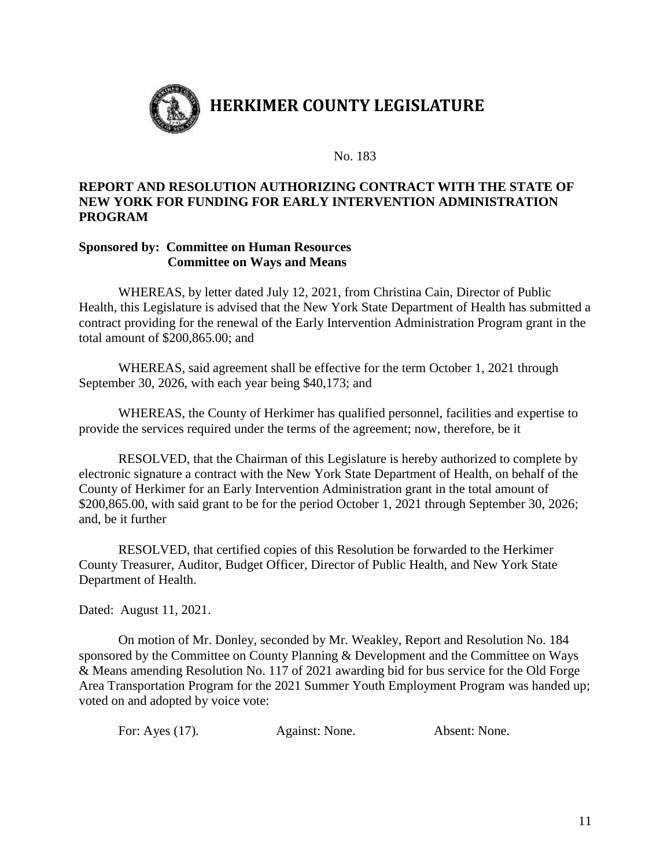

No. 183

### **REPORT AND RESOLUTION AUTHORIZING CONTRACT WITH THE STATE OF NEW YORK FOR FUNDING FOR EARLY INTERVENTION ADMINISTRATION PROGRAM**

### **Sponsored by: Committee on Human Resources Committee on Ways and Means**

WHEREAS, by letter dated July 12, 2021, from Christina Cain, Director of Public Health, this Legislature is advised that the New York State Department of Health has submitted a contract providing for the renewal of the Early Intervention Administration Program grant in the total amount of \$200,865.00; and

WHEREAS, said agreement shall be effective for the term October 1, 2021 through September 30, 2026, with each year being \$40,173; and

WHEREAS, the County of Herkimer has qualified personnel, facilities and expertise to provide the services required under the terms of the agreement; now, therefore, be it

RESOLVED, that the Chairman of this Legislature is hereby authorized to complete by electronic signature a contract with the New York State Department of Health, on behalf of the County of Herkimer for an Early Intervention Administration grant in the total amount of \$200,865.00, with said grant to be for the period October 1, 2021 through September 30, 2026; and, be it further

RESOLVED, that certified copies of this Resolution be forwarded to the Herkimer County Treasurer, Auditor, Budget Officer, Director of Public Health, and New York State Department of Health.

Dated: August 11, 2021.

On motion of Mr. Donley, seconded by Mr. Weakley, Report and Resolution No. 184 sponsored by the Committee on County Planning & Development and the Committee on Ways & Means amending Resolution No. 117 of 2021 awarding bid for bus service for the Old Forge Area Transportation Program for the 2021 Summer Youth Employment Program was handed up; voted on and adopted by voice vote:

| For: Ayes (17). | Against: None. | Absent: None. |
|-----------------|----------------|---------------|
|                 |                |               |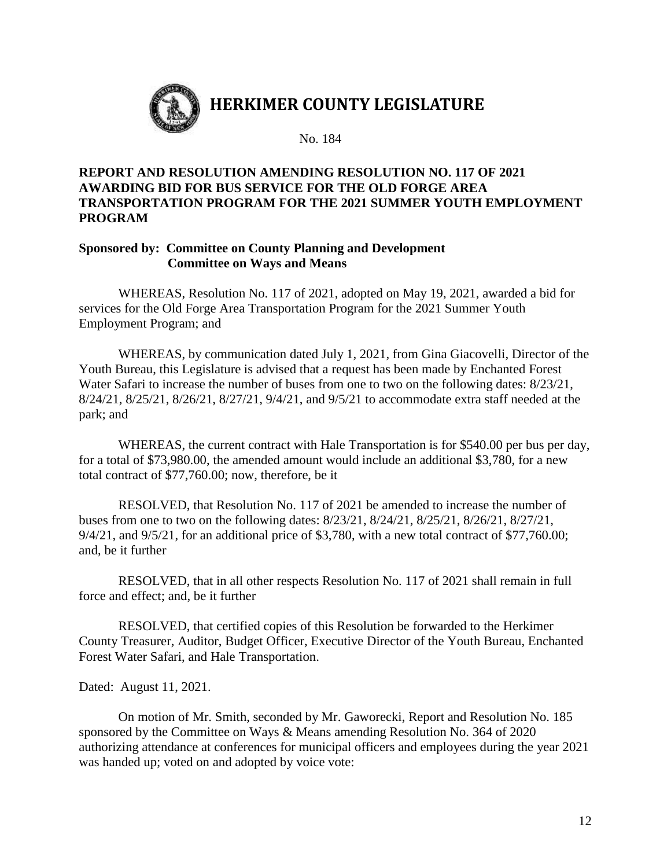

## **REPORT AND RESOLUTION AMENDING RESOLUTION NO. 117 OF 2021 AWARDING BID FOR BUS SERVICE FOR THE OLD FORGE AREA TRANSPORTATION PROGRAM FOR THE 2021 SUMMER YOUTH EMPLOYMENT PROGRAM**

### **Sponsored by: Committee on County Planning and Development Committee on Ways and Means**

WHEREAS, Resolution No. 117 of 2021, adopted on May 19, 2021, awarded a bid for services for the Old Forge Area Transportation Program for the 2021 Summer Youth Employment Program; and

WHEREAS, by communication dated July 1, 2021, from Gina Giacovelli, Director of the Youth Bureau, this Legislature is advised that a request has been made by Enchanted Forest Water Safari to increase the number of buses from one to two on the following dates: 8/23/21, 8/24/21, 8/25/21, 8/26/21, 8/27/21, 9/4/21, and 9/5/21 to accommodate extra staff needed at the park; and

WHEREAS, the current contract with Hale Transportation is for \$540.00 per bus per day, for a total of \$73,980.00, the amended amount would include an additional \$3,780, for a new total contract of \$77,760.00; now, therefore, be it

RESOLVED, that Resolution No. 117 of 2021 be amended to increase the number of buses from one to two on the following dates: 8/23/21, 8/24/21, 8/25/21, 8/26/21, 8/27/21, 9/4/21, and 9/5/21, for an additional price of \$3,780, with a new total contract of \$77,760.00; and, be it further

RESOLVED, that in all other respects Resolution No. 117 of 2021 shall remain in full force and effect; and, be it further

RESOLVED, that certified copies of this Resolution be forwarded to the Herkimer County Treasurer, Auditor, Budget Officer, Executive Director of the Youth Bureau, Enchanted Forest Water Safari, and Hale Transportation.

Dated: August 11, 2021.

On motion of Mr. Smith, seconded by Mr. Gaworecki, Report and Resolution No. 185 sponsored by the Committee on Ways & Means amending Resolution No. 364 of 2020 authorizing attendance at conferences for municipal officers and employees during the year 2021 was handed up; voted on and adopted by voice vote: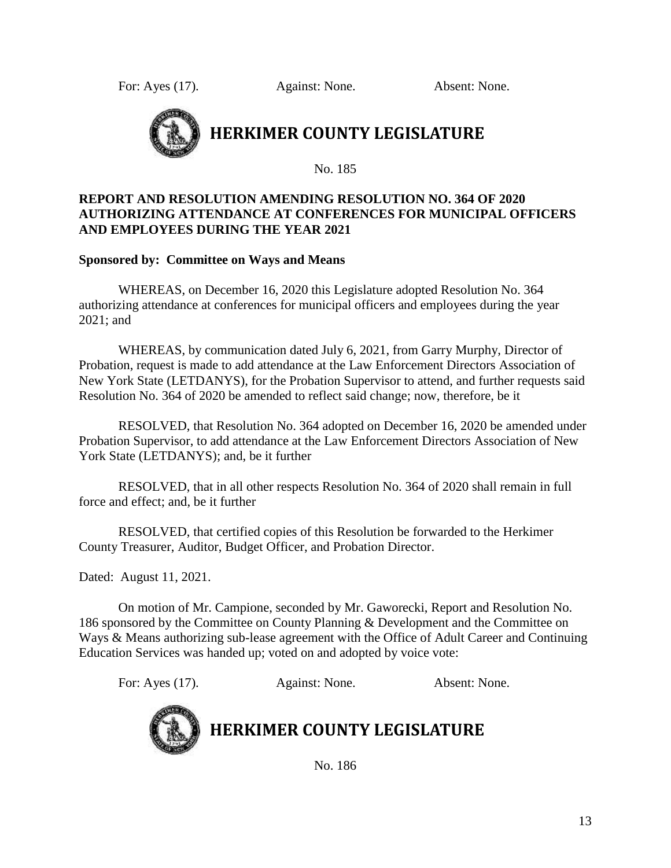For: Ayes (17). Against: None. Absent: None.



No. 185

# **REPORT AND RESOLUTION AMENDING RESOLUTION NO. 364 OF 2020 AUTHORIZING ATTENDANCE AT CONFERENCES FOR MUNICIPAL OFFICERS AND EMPLOYEES DURING THE YEAR 2021**

### **Sponsored by: Committee on Ways and Means**

WHEREAS, on December 16, 2020 this Legislature adopted Resolution No. 364 authorizing attendance at conferences for municipal officers and employees during the year 2021; and

WHEREAS, by communication dated July 6, 2021, from Garry Murphy, Director of Probation, request is made to add attendance at the Law Enforcement Directors Association of New York State (LETDANYS), for the Probation Supervisor to attend, and further requests said Resolution No. 364 of 2020 be amended to reflect said change; now, therefore, be it

RESOLVED, that Resolution No. 364 adopted on December 16, 2020 be amended under Probation Supervisor, to add attendance at the Law Enforcement Directors Association of New York State (LETDANYS); and, be it further

RESOLVED, that in all other respects Resolution No. 364 of 2020 shall remain in full force and effect; and, be it further

RESOLVED, that certified copies of this Resolution be forwarded to the Herkimer County Treasurer, Auditor, Budget Officer, and Probation Director.

Dated: August 11, 2021.

On motion of Mr. Campione, seconded by Mr. Gaworecki, Report and Resolution No. 186 sponsored by the Committee on County Planning & Development and the Committee on Ways & Means authorizing sub-lease agreement with the Office of Adult Career and Continuing Education Services was handed up; voted on and adopted by voice vote:

For: Ayes (17). Against: None. Absent: None.



# **HERKIMER COUNTY LEGISLATURE**

No. 186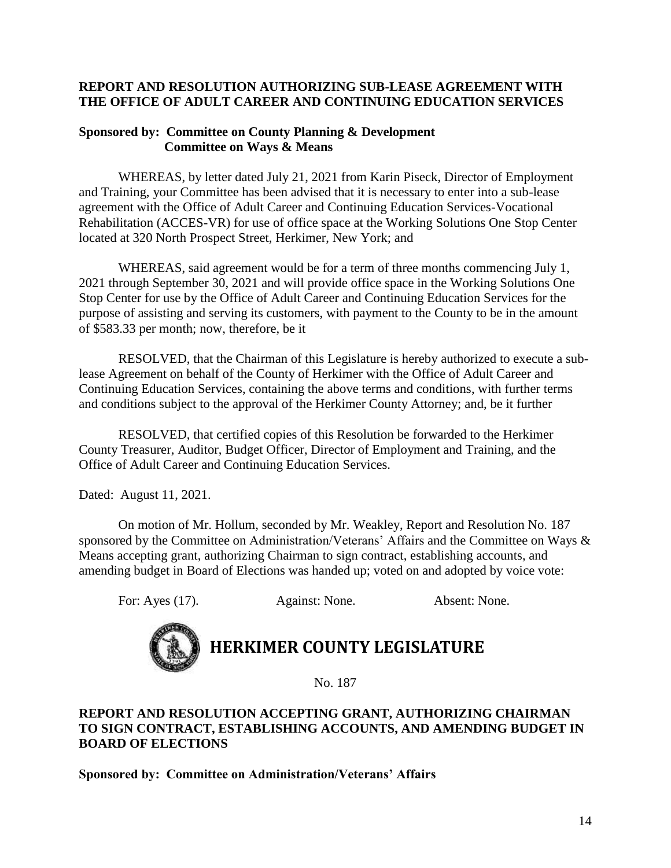# **REPORT AND RESOLUTION AUTHORIZING SUB-LEASE AGREEMENT WITH THE OFFICE OF ADULT CAREER AND CONTINUING EDUCATION SERVICES**

### **Sponsored by: Committee on County Planning & Development Committee on Ways & Means**

WHEREAS, by letter dated July 21, 2021 from Karin Piseck, Director of Employment and Training, your Committee has been advised that it is necessary to enter into a sub-lease agreement with the Office of Adult Career and Continuing Education Services-Vocational Rehabilitation (ACCES-VR) for use of office space at the Working Solutions One Stop Center located at 320 North Prospect Street, Herkimer, New York; and

WHEREAS, said agreement would be for a term of three months commencing July 1, 2021 through September 30, 2021 and will provide office space in the Working Solutions One Stop Center for use by the Office of Adult Career and Continuing Education Services for the purpose of assisting and serving its customers, with payment to the County to be in the amount of \$583.33 per month; now, therefore, be it

RESOLVED, that the Chairman of this Legislature is hereby authorized to execute a sublease Agreement on behalf of the County of Herkimer with the Office of Adult Career and Continuing Education Services, containing the above terms and conditions, with further terms and conditions subject to the approval of the Herkimer County Attorney; and, be it further

RESOLVED, that certified copies of this Resolution be forwarded to the Herkimer County Treasurer, Auditor, Budget Officer, Director of Employment and Training, and the Office of Adult Career and Continuing Education Services.

Dated: August 11, 2021.

On motion of Mr. Hollum, seconded by Mr. Weakley, Report and Resolution No. 187 sponsored by the Committee on Administration/Veterans' Affairs and the Committee on Ways & Means accepting grant, authorizing Chairman to sign contract, establishing accounts, and amending budget in Board of Elections was handed up; voted on and adopted by voice vote:

For: Ayes (17). Against: None. Absent: None.



# **HERKIMER COUNTY LEGISLATURE**

No. 187

# **REPORT AND RESOLUTION ACCEPTING GRANT, AUTHORIZING CHAIRMAN TO SIGN CONTRACT, ESTABLISHING ACCOUNTS, AND AMENDING BUDGET IN BOARD OF ELECTIONS**

**Sponsored by: Committee on Administration/Veterans' Affairs**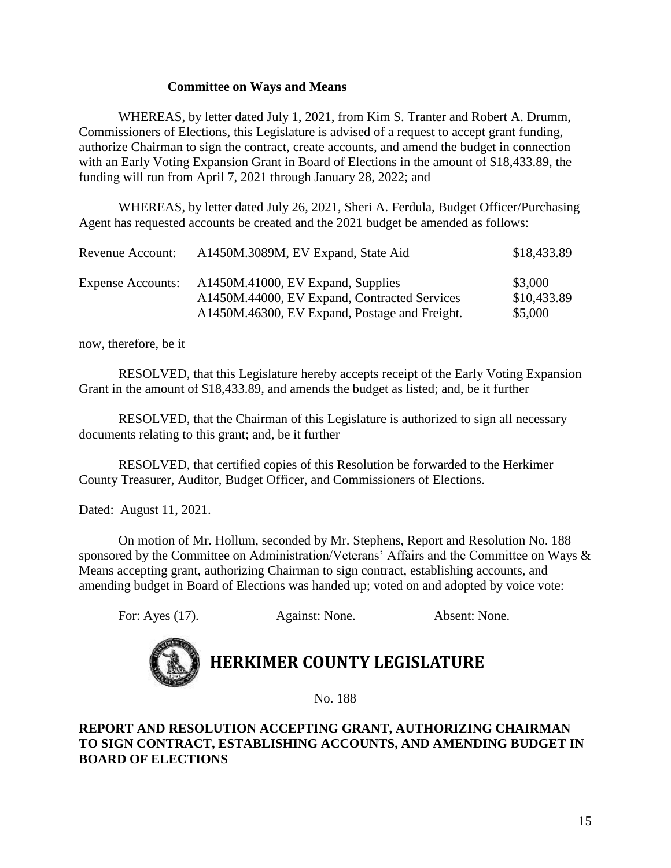### **Committee on Ways and Means**

WHEREAS, by letter dated July 1, 2021, from Kim S. Tranter and Robert A. Drumm, Commissioners of Elections, this Legislature is advised of a request to accept grant funding, authorize Chairman to sign the contract, create accounts, and amend the budget in connection with an Early Voting Expansion Grant in Board of Elections in the amount of \$18,433.89, the funding will run from April 7, 2021 through January 28, 2022; and

WHEREAS, by letter dated July 26, 2021, Sheri A. Ferdula, Budget Officer/Purchasing Agent has requested accounts be created and the 2021 budget be amended as follows:

| Revenue Account:         | A1450M.3089M, EV Expand, State Aid                                                | \$18,433.89            |
|--------------------------|-----------------------------------------------------------------------------------|------------------------|
| <b>Expense Accounts:</b> | A1450M.41000, EV Expand, Supplies<br>A1450M.44000, EV Expand, Contracted Services | \$3,000<br>\$10,433.89 |
|                          | A1450M.46300, EV Expand, Postage and Freight.                                     | \$5,000                |

now, therefore, be it

RESOLVED, that this Legislature hereby accepts receipt of the Early Voting Expansion Grant in the amount of \$18,433.89, and amends the budget as listed; and, be it further

RESOLVED, that the Chairman of this Legislature is authorized to sign all necessary documents relating to this grant; and, be it further

RESOLVED, that certified copies of this Resolution be forwarded to the Herkimer County Treasurer, Auditor, Budget Officer, and Commissioners of Elections.

Dated: August 11, 2021.

On motion of Mr. Hollum, seconded by Mr. Stephens, Report and Resolution No. 188 sponsored by the Committee on Administration/Veterans' Affairs and the Committee on Ways & Means accepting grant, authorizing Chairman to sign contract, establishing accounts, and amending budget in Board of Elections was handed up; voted on and adopted by voice vote:

For: Ayes (17). Against: None. Absent: None.



# **HERKIMER COUNTY LEGISLATURE**

No. 188

### **REPORT AND RESOLUTION ACCEPTING GRANT, AUTHORIZING CHAIRMAN TO SIGN CONTRACT, ESTABLISHING ACCOUNTS, AND AMENDING BUDGET IN BOARD OF ELECTIONS**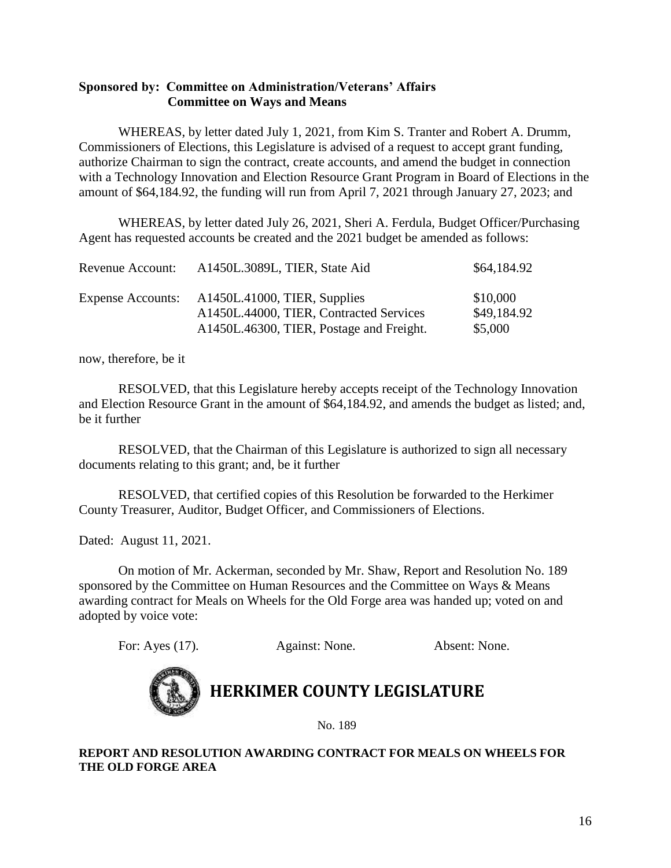### **Sponsored by: Committee on Administration/Veterans' Affairs Committee on Ways and Means**

WHEREAS, by letter dated July 1, 2021, from Kim S. Tranter and Robert A. Drumm, Commissioners of Elections, this Legislature is advised of a request to accept grant funding, authorize Chairman to sign the contract, create accounts, and amend the budget in connection with a Technology Innovation and Election Resource Grant Program in Board of Elections in the amount of \$64,184.92, the funding will run from April 7, 2021 through January 27, 2023; and

WHEREAS, by letter dated July 26, 2021, Sheri A. Ferdula, Budget Officer/Purchasing Agent has requested accounts be created and the 2021 budget be amended as follows:

| Revenue Account:         | A1450L.3089L, TIER, State Aid                                           | \$64,184.92             |
|--------------------------|-------------------------------------------------------------------------|-------------------------|
| <b>Expense Accounts:</b> | A1450L.41000, TIER, Supplies<br>A1450L.44000, TIER, Contracted Services | \$10,000<br>\$49,184.92 |
|                          | A1450L.46300, TIER, Postage and Freight.                                | \$5,000                 |

now, therefore, be it

RESOLVED, that this Legislature hereby accepts receipt of the Technology Innovation and Election Resource Grant in the amount of \$64,184.92, and amends the budget as listed; and, be it further

RESOLVED, that the Chairman of this Legislature is authorized to sign all necessary documents relating to this grant; and, be it further

RESOLVED, that certified copies of this Resolution be forwarded to the Herkimer County Treasurer, Auditor, Budget Officer, and Commissioners of Elections.

Dated: August 11, 2021.

On motion of Mr. Ackerman, seconded by Mr. Shaw, Report and Resolution No. 189 sponsored by the Committee on Human Resources and the Committee on Ways & Means awarding contract for Meals on Wheels for the Old Forge area was handed up; voted on and adopted by voice vote:

For: Ayes (17). Against: None. Absent: None.



**HERKIMER COUNTY LEGISLATURE**

No. 189

### **REPORT AND RESOLUTION AWARDING CONTRACT FOR MEALS ON WHEELS FOR THE OLD FORGE AREA**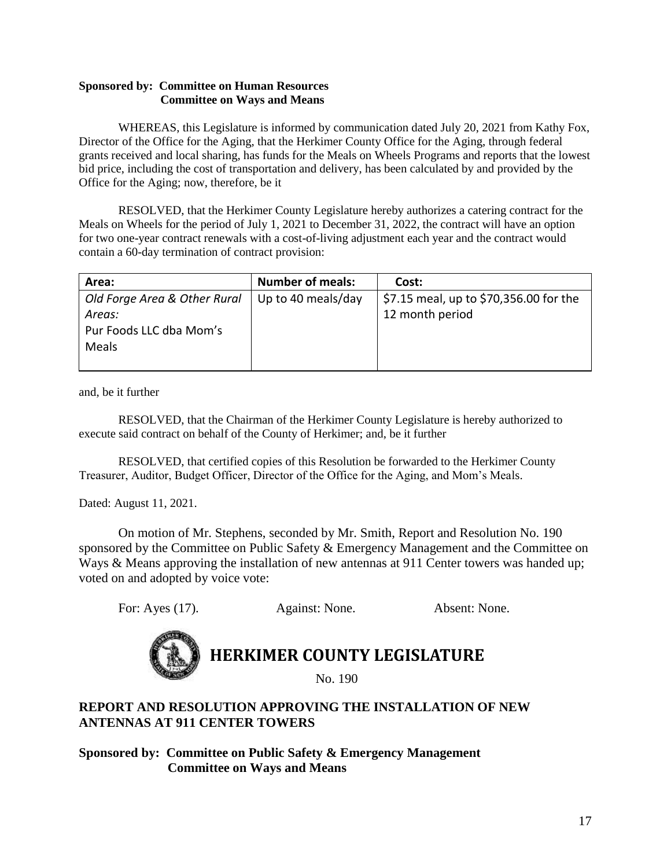### **Sponsored by: Committee on Human Resources Committee on Ways and Means**

WHEREAS, this Legislature is informed by communication dated July 20, 2021 from Kathy Fox, Director of the Office for the Aging, that the Herkimer County Office for the Aging, through federal grants received and local sharing, has funds for the Meals on Wheels Programs and reports that the lowest bid price, including the cost of transportation and delivery, has been calculated by and provided by the Office for the Aging; now, therefore, be it

RESOLVED, that the Herkimer County Legislature hereby authorizes a catering contract for the Meals on Wheels for the period of July 1, 2021 to December 31, 2022, the contract will have an option for two one-year contract renewals with a cost-of-living adjustment each year and the contract would contain a 60-day termination of contract provision:

| Area:                        | <b>Number of meals:</b> | Cost:                                  |
|------------------------------|-------------------------|----------------------------------------|
| Old Forge Area & Other Rural | Up to 40 meals/day      | \$7.15 meal, up to \$70,356.00 for the |
| Areas:                       |                         | 12 month period                        |
| Pur Foods LLC dba Mom's      |                         |                                        |
| Meals                        |                         |                                        |
|                              |                         |                                        |

and, be it further

RESOLVED, that the Chairman of the Herkimer County Legislature is hereby authorized to execute said contract on behalf of the County of Herkimer; and, be it further

RESOLVED, that certified copies of this Resolution be forwarded to the Herkimer County Treasurer, Auditor, Budget Officer, Director of the Office for the Aging, and Mom's Meals.

Dated: August 11, 2021.

On motion of Mr. Stephens, seconded by Mr. Smith, Report and Resolution No. 190 sponsored by the Committee on Public Safety & Emergency Management and the Committee on Ways & Means approving the installation of new antennas at 911 Center towers was handed up; voted on and adopted by voice vote:

For: Ayes (17). Against: None. Absent: None.



# **HERKIMER COUNTY LEGISLATURE**

No. 190

# **REPORT AND RESOLUTION APPROVING THE INSTALLATION OF NEW ANTENNAS AT 911 CENTER TOWERS**

**Sponsored by: Committee on Public Safety & Emergency Management Committee on Ways and Means**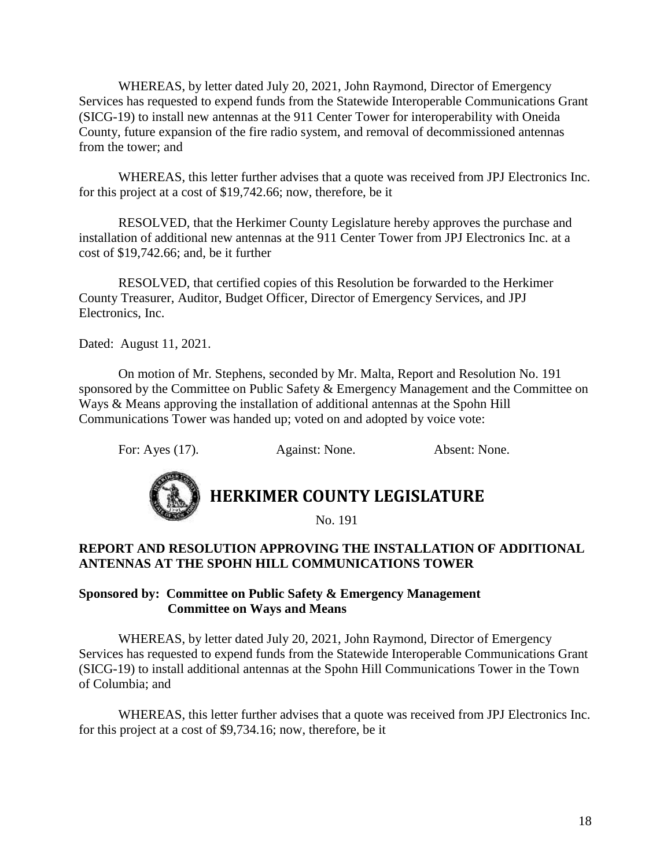WHEREAS, by letter dated July 20, 2021, John Raymond, Director of Emergency Services has requested to expend funds from the Statewide Interoperable Communications Grant (SICG-19) to install new antennas at the 911 Center Tower for interoperability with Oneida County, future expansion of the fire radio system, and removal of decommissioned antennas from the tower; and

WHEREAS, this letter further advises that a quote was received from JPJ Electronics Inc. for this project at a cost of \$19,742.66; now, therefore, be it

RESOLVED, that the Herkimer County Legislature hereby approves the purchase and installation of additional new antennas at the 911 Center Tower from JPJ Electronics Inc. at a cost of \$19,742.66; and, be it further

RESOLVED, that certified copies of this Resolution be forwarded to the Herkimer County Treasurer, Auditor, Budget Officer, Director of Emergency Services, and JPJ Electronics, Inc.

Dated: August 11, 2021.

On motion of Mr. Stephens, seconded by Mr. Malta, Report and Resolution No. 191 sponsored by the Committee on Public Safety & Emergency Management and the Committee on Ways & Means approving the installation of additional antennas at the Spohn Hill Communications Tower was handed up; voted on and adopted by voice vote:

For: Ayes (17). Against: None. Absent: None.



# **HERKIMER COUNTY LEGISLATURE**

No. 191

# **REPORT AND RESOLUTION APPROVING THE INSTALLATION OF ADDITIONAL ANTENNAS AT THE SPOHN HILL COMMUNICATIONS TOWER**

### **Sponsored by: Committee on Public Safety & Emergency Management Committee on Ways and Means**

WHEREAS, by letter dated July 20, 2021, John Raymond, Director of Emergency Services has requested to expend funds from the Statewide Interoperable Communications Grant (SICG-19) to install additional antennas at the Spohn Hill Communications Tower in the Town of Columbia; and

WHEREAS, this letter further advises that a quote was received from JPJ Electronics Inc. for this project at a cost of \$9,734.16; now, therefore, be it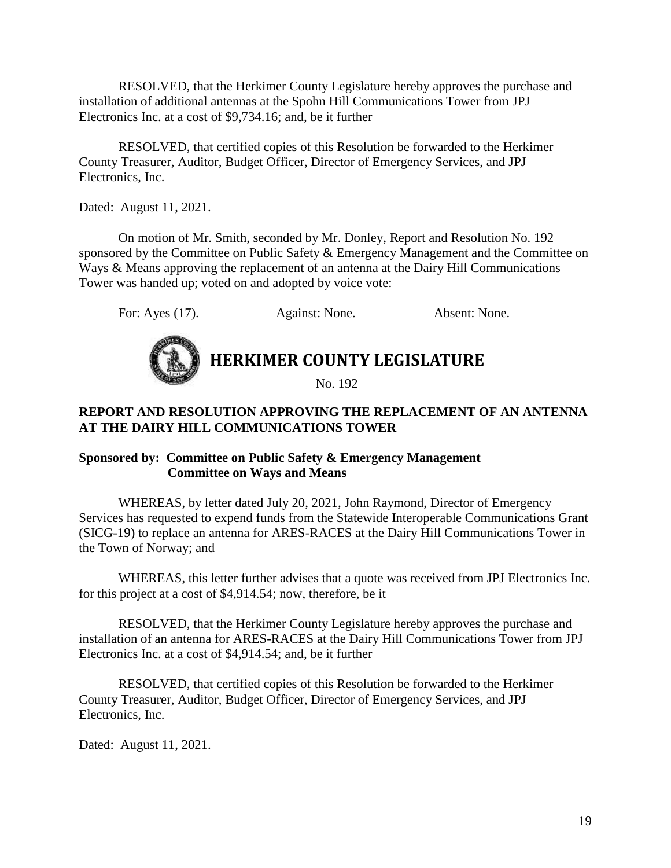RESOLVED, that the Herkimer County Legislature hereby approves the purchase and installation of additional antennas at the Spohn Hill Communications Tower from JPJ Electronics Inc. at a cost of \$9,734.16; and, be it further

RESOLVED, that certified copies of this Resolution be forwarded to the Herkimer County Treasurer, Auditor, Budget Officer, Director of Emergency Services, and JPJ Electronics, Inc.

Dated: August 11, 2021.

On motion of Mr. Smith, seconded by Mr. Donley, Report and Resolution No. 192 sponsored by the Committee on Public Safety & Emergency Management and the Committee on Ways & Means approving the replacement of an antenna at the Dairy Hill Communications Tower was handed up; voted on and adopted by voice vote:

For: Ayes (17). Against: None. Absent: None.



# **HERKIMER COUNTY LEGISLATURE**

No. 192

# **REPORT AND RESOLUTION APPROVING THE REPLACEMENT OF AN ANTENNA AT THE DAIRY HILL COMMUNICATIONS TOWER**

# **Sponsored by: Committee on Public Safety & Emergency Management Committee on Ways and Means**

WHEREAS, by letter dated July 20, 2021, John Raymond, Director of Emergency Services has requested to expend funds from the Statewide Interoperable Communications Grant (SICG-19) to replace an antenna for ARES-RACES at the Dairy Hill Communications Tower in the Town of Norway; and

WHEREAS, this letter further advises that a quote was received from JPJ Electronics Inc. for this project at a cost of \$4,914.54; now, therefore, be it

RESOLVED, that the Herkimer County Legislature hereby approves the purchase and installation of an antenna for ARES-RACES at the Dairy Hill Communications Tower from JPJ Electronics Inc. at a cost of \$4,914.54; and, be it further

RESOLVED, that certified copies of this Resolution be forwarded to the Herkimer County Treasurer, Auditor, Budget Officer, Director of Emergency Services, and JPJ Electronics, Inc.

Dated: August 11, 2021.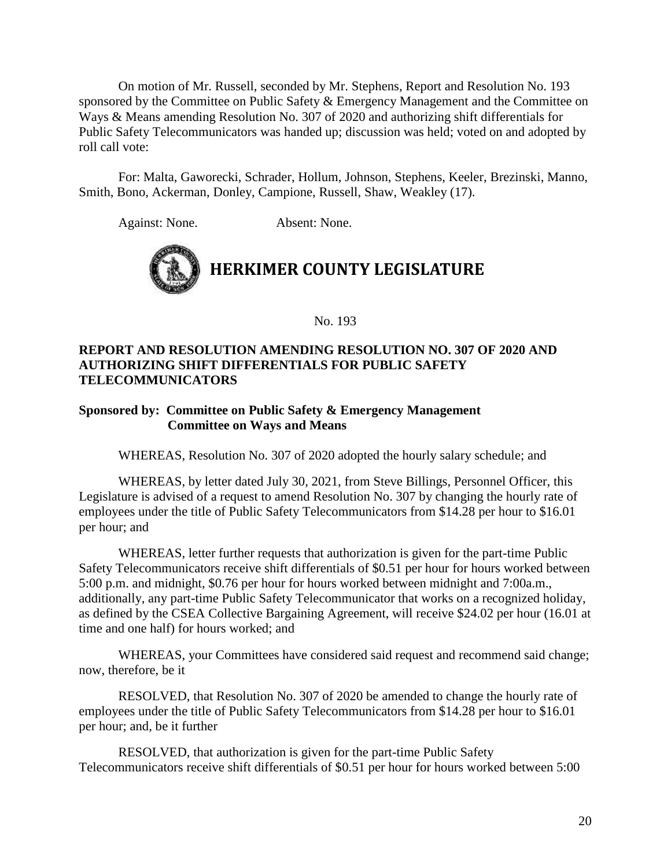On motion of Mr. Russell, seconded by Mr. Stephens, Report and Resolution No. 193 sponsored by the Committee on Public Safety & Emergency Management and the Committee on Ways & Means amending Resolution No. 307 of 2020 and authorizing shift differentials for Public Safety Telecommunicators was handed up; discussion was held; voted on and adopted by roll call vote:

For: Malta, Gaworecki, Schrader, Hollum, Johnson, Stephens, Keeler, Brezinski, Manno, Smith, Bono, Ackerman, Donley, Campione, Russell, Shaw, Weakley (17).

Against: None. Absent: None.



No. 193

# **REPORT AND RESOLUTION AMENDING RESOLUTION NO. 307 OF 2020 AND AUTHORIZING SHIFT DIFFERENTIALS FOR PUBLIC SAFETY TELECOMMUNICATORS**

## **Sponsored by: Committee on Public Safety & Emergency Management Committee on Ways and Means**

WHEREAS, Resolution No. 307 of 2020 adopted the hourly salary schedule; and

WHEREAS, by letter dated July 30, 2021, from Steve Billings, Personnel Officer, this Legislature is advised of a request to amend Resolution No. 307 by changing the hourly rate of employees under the title of Public Safety Telecommunicators from \$14.28 per hour to \$16.01 per hour; and

WHEREAS, letter further requests that authorization is given for the part-time Public Safety Telecommunicators receive shift differentials of \$0.51 per hour for hours worked between 5:00 p.m. and midnight, \$0.76 per hour for hours worked between midnight and 7:00a.m., additionally, any part-time Public Safety Telecommunicator that works on a recognized holiday, as defined by the CSEA Collective Bargaining Agreement, will receive \$24.02 per hour (16.01 at time and one half) for hours worked; and

WHEREAS, your Committees have considered said request and recommend said change; now, therefore, be it

RESOLVED, that Resolution No. 307 of 2020 be amended to change the hourly rate of employees under the title of Public Safety Telecommunicators from \$14.28 per hour to \$16.01 per hour; and, be it further

RESOLVED, that authorization is given for the part-time Public Safety Telecommunicators receive shift differentials of \$0.51 per hour for hours worked between 5:00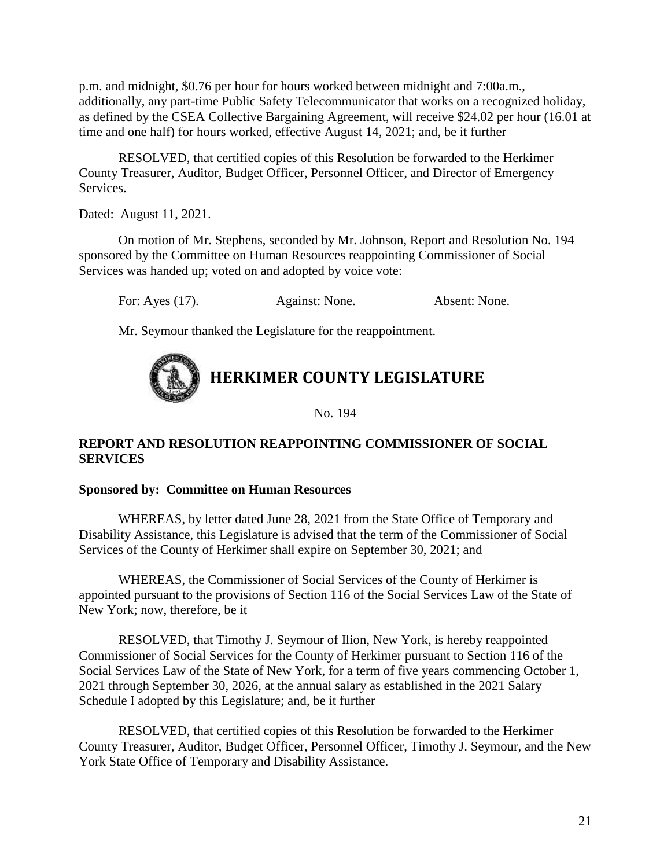p.m. and midnight, \$0.76 per hour for hours worked between midnight and 7:00a.m., additionally, any part-time Public Safety Telecommunicator that works on a recognized holiday, as defined by the CSEA Collective Bargaining Agreement, will receive \$24.02 per hour (16.01 at time and one half) for hours worked, effective August 14, 2021; and, be it further

RESOLVED, that certified copies of this Resolution be forwarded to the Herkimer County Treasurer, Auditor, Budget Officer, Personnel Officer, and Director of Emergency Services.

Dated: August 11, 2021.

On motion of Mr. Stephens, seconded by Mr. Johnson, Report and Resolution No. 194 sponsored by the Committee on Human Resources reappointing Commissioner of Social Services was handed up; voted on and adopted by voice vote:

For: Ayes (17). Against: None. Absent: None.

Mr. Seymour thanked the Legislature for the reappointment.

# **HERKIMER COUNTY LEGISLATURE**

No. 194

# **REPORT AND RESOLUTION REAPPOINTING COMMISSIONER OF SOCIAL SERVICES**

# **Sponsored by: Committee on Human Resources**

WHEREAS, by letter dated June 28, 2021 from the State Office of Temporary and Disability Assistance, this Legislature is advised that the term of the Commissioner of Social Services of the County of Herkimer shall expire on September 30, 2021; and

WHEREAS, the Commissioner of Social Services of the County of Herkimer is appointed pursuant to the provisions of Section 116 of the Social Services Law of the State of New York; now, therefore, be it

RESOLVED, that Timothy J. Seymour of Ilion, New York, is hereby reappointed Commissioner of Social Services for the County of Herkimer pursuant to Section 116 of the Social Services Law of the State of New York, for a term of five years commencing October 1, 2021 through September 30, 2026, at the annual salary as established in the 2021 Salary Schedule I adopted by this Legislature; and, be it further

RESOLVED, that certified copies of this Resolution be forwarded to the Herkimer County Treasurer, Auditor, Budget Officer, Personnel Officer, Timothy J. Seymour, and the New York State Office of Temporary and Disability Assistance.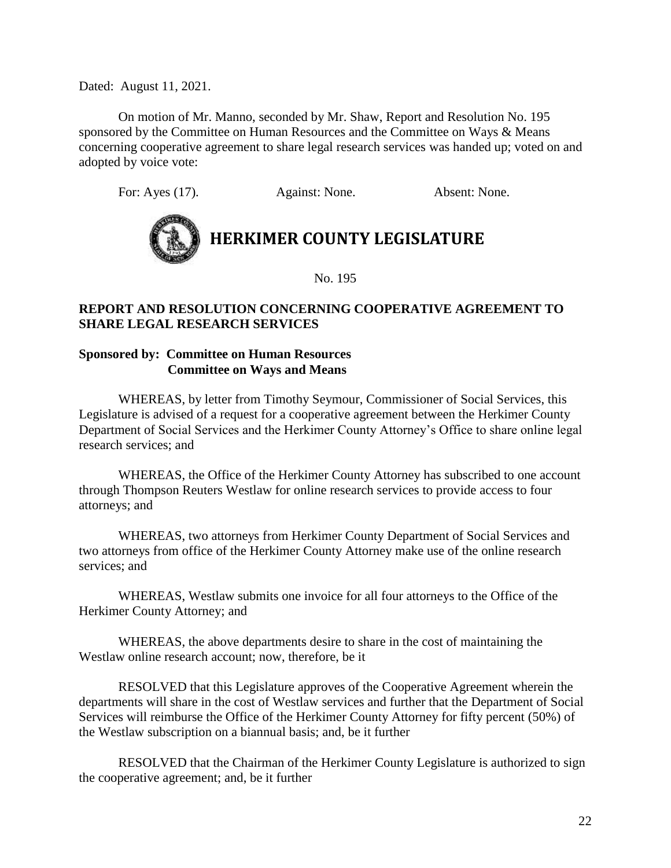Dated: August 11, 2021.

On motion of Mr. Manno, seconded by Mr. Shaw, Report and Resolution No. 195 sponsored by the Committee on Human Resources and the Committee on Ways & Means concerning cooperative agreement to share legal research services was handed up; voted on and adopted by voice vote:

For: Ayes (17). Against: None. Absent: None.



# **HERKIMER COUNTY LEGISLATURE**

No. 195

# **REPORT AND RESOLUTION CONCERNING COOPERATIVE AGREEMENT TO SHARE LEGAL RESEARCH SERVICES**

## **Sponsored by: Committee on Human Resources Committee on Ways and Means**

WHEREAS, by letter from Timothy Seymour, Commissioner of Social Services, this Legislature is advised of a request for a cooperative agreement between the Herkimer County Department of Social Services and the Herkimer County Attorney's Office to share online legal research services; and

WHEREAS, the Office of the Herkimer County Attorney has subscribed to one account through Thompson Reuters Westlaw for online research services to provide access to four attorneys; and

WHEREAS, two attorneys from Herkimer County Department of Social Services and two attorneys from office of the Herkimer County Attorney make use of the online research services; and

WHEREAS, Westlaw submits one invoice for all four attorneys to the Office of the Herkimer County Attorney; and

WHEREAS, the above departments desire to share in the cost of maintaining the Westlaw online research account; now, therefore, be it

RESOLVED that this Legislature approves of the Cooperative Agreement wherein the departments will share in the cost of Westlaw services and further that the Department of Social Services will reimburse the Office of the Herkimer County Attorney for fifty percent (50%) of the Westlaw subscription on a biannual basis; and, be it further

RESOLVED that the Chairman of the Herkimer County Legislature is authorized to sign the cooperative agreement; and, be it further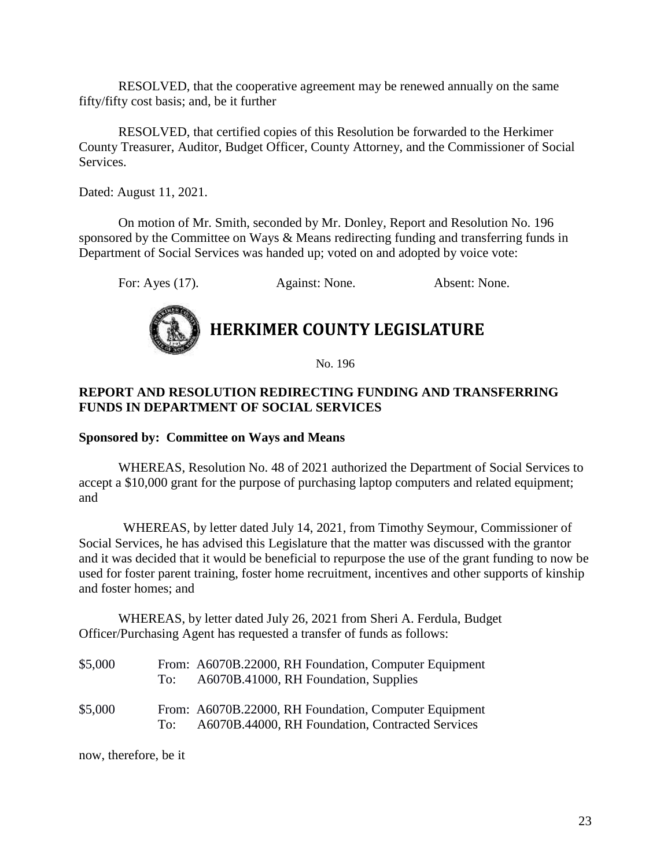RESOLVED, that the cooperative agreement may be renewed annually on the same fifty/fifty cost basis; and, be it further

RESOLVED, that certified copies of this Resolution be forwarded to the Herkimer County Treasurer, Auditor, Budget Officer, County Attorney, and the Commissioner of Social Services.

Dated: August 11, 2021.

On motion of Mr. Smith, seconded by Mr. Donley, Report and Resolution No. 196 sponsored by the Committee on Ways & Means redirecting funding and transferring funds in Department of Social Services was handed up; voted on and adopted by voice vote:

For: Ayes (17). Against: None. Absent: None.



# **HERKIMER COUNTY LEGISLATURE**

No. 196

# **REPORT AND RESOLUTION REDIRECTING FUNDING AND TRANSFERRING FUNDS IN DEPARTMENT OF SOCIAL SERVICES**

## **Sponsored by: Committee on Ways and Means**

WHEREAS, Resolution No. 48 of 2021 authorized the Department of Social Services to accept a \$10,000 grant for the purpose of purchasing laptop computers and related equipment; and

WHEREAS, by letter dated July 14, 2021, from Timothy Seymour, Commissioner of Social Services, he has advised this Legislature that the matter was discussed with the grantor and it was decided that it would be beneficial to repurpose the use of the grant funding to now be used for foster parent training, foster home recruitment, incentives and other supports of kinship and foster homes; and

WHEREAS, by letter dated July 26, 2021 from Sheri A. Ferdula, Budget Officer/Purchasing Agent has requested a transfer of funds as follows:

| \$5,000 | To: | From: A6070B.22000, RH Foundation, Computer Equipment<br>A6070B.41000, RH Foundation, Supplies            |
|---------|-----|-----------------------------------------------------------------------------------------------------------|
| \$5,000 | To: | From: A6070B.22000, RH Foundation, Computer Equipment<br>A6070B.44000, RH Foundation, Contracted Services |

now, therefore, be it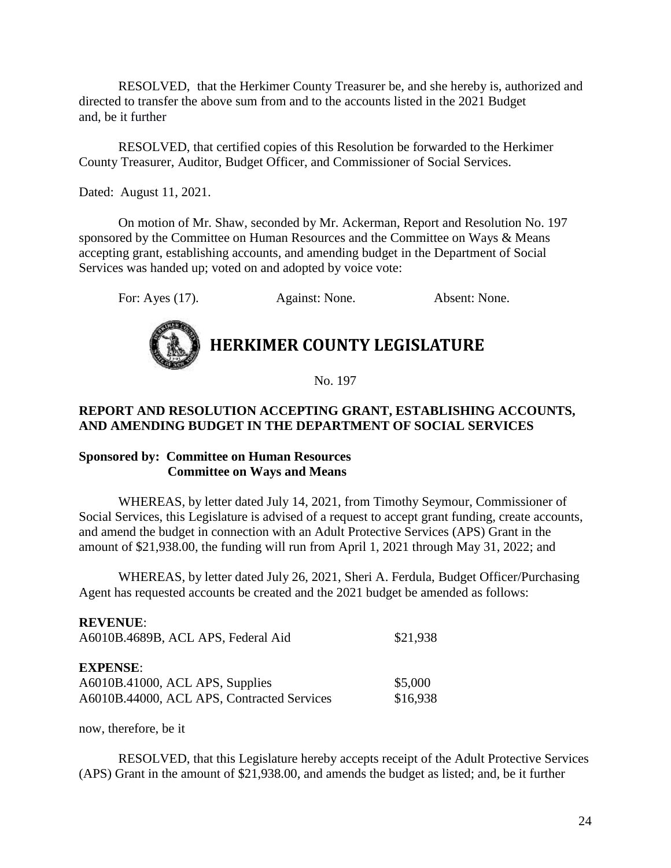RESOLVED, that the Herkimer County Treasurer be, and she hereby is, authorized and directed to transfer the above sum from and to the accounts listed in the 2021 Budget and, be it further

RESOLVED, that certified copies of this Resolution be forwarded to the Herkimer County Treasurer, Auditor, Budget Officer, and Commissioner of Social Services.

Dated: August 11, 2021.

On motion of Mr. Shaw, seconded by Mr. Ackerman, Report and Resolution No. 197 sponsored by the Committee on Human Resources and the Committee on Ways & Means accepting grant, establishing accounts, and amending budget in the Department of Social Services was handed up; voted on and adopted by voice vote:

For: Ayes (17). Against: None. Absent: None.



# **HERKIMER COUNTY LEGISLATURE**

No. 197

# **REPORT AND RESOLUTION ACCEPTING GRANT, ESTABLISHING ACCOUNTS, AND AMENDING BUDGET IN THE DEPARTMENT OF SOCIAL SERVICES**

### **Sponsored by: Committee on Human Resources Committee on Ways and Means**

WHEREAS, by letter dated July 14, 2021, from Timothy Seymour, Commissioner of Social Services, this Legislature is advised of a request to accept grant funding, create accounts, and amend the budget in connection with an Adult Protective Services (APS) Grant in the amount of \$21,938.00, the funding will run from April 1, 2021 through May 31, 2022; and

WHEREAS, by letter dated July 26, 2021, Sheri A. Ferdula, Budget Officer/Purchasing Agent has requested accounts be created and the 2021 budget be amended as follows:

| <b>REVENUE:</b>                            |          |
|--------------------------------------------|----------|
| A6010B.4689B, ACL APS, Federal Aid         | \$21,938 |
| <b>EXPENSE:</b>                            |          |
| A6010B.41000, ACL APS, Supplies            | \$5,000  |
| A6010B.44000, ACL APS, Contracted Services | \$16,938 |

now, therefore, be it

RESOLVED, that this Legislature hereby accepts receipt of the Adult Protective Services (APS) Grant in the amount of \$21,938.00, and amends the budget as listed; and, be it further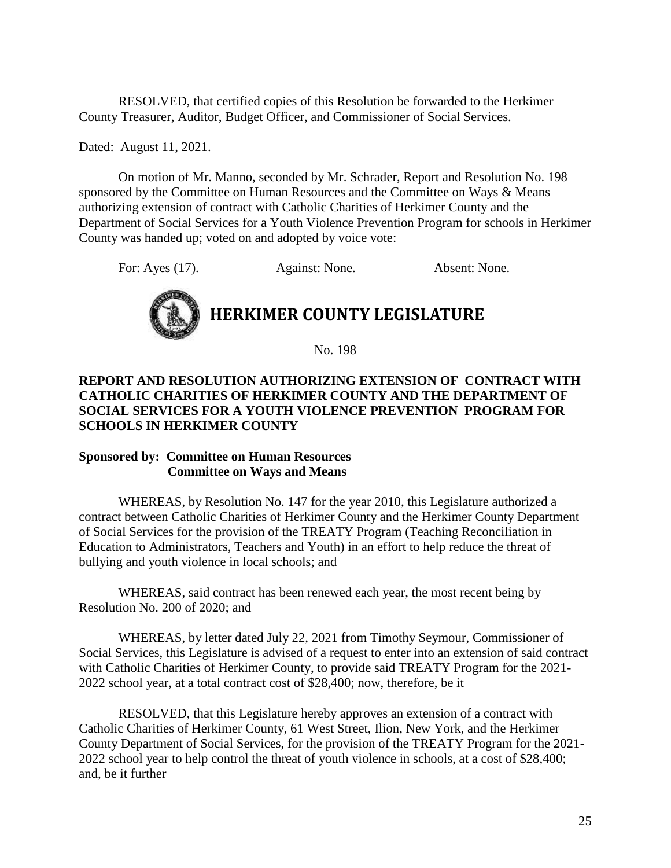RESOLVED, that certified copies of this Resolution be forwarded to the Herkimer County Treasurer, Auditor, Budget Officer, and Commissioner of Social Services.

Dated: August 11, 2021.

On motion of Mr. Manno, seconded by Mr. Schrader, Report and Resolution No. 198 sponsored by the Committee on Human Resources and the Committee on Ways & Means authorizing extension of contract with Catholic Charities of Herkimer County and the Department of Social Services for a Youth Violence Prevention Program for schools in Herkimer County was handed up; voted on and adopted by voice vote:

For: Ayes (17). Against: None. Absent: None.



No. 198

# **REPORT AND RESOLUTION AUTHORIZING EXTENSION OF CONTRACT WITH CATHOLIC CHARITIES OF HERKIMER COUNTY AND THE DEPARTMENT OF SOCIAL SERVICES FOR A YOUTH VIOLENCE PREVENTION PROGRAM FOR SCHOOLS IN HERKIMER COUNTY**

### **Sponsored by: Committee on Human Resources Committee on Ways and Means**

WHEREAS, by Resolution No. 147 for the year 2010, this Legislature authorized a contract between Catholic Charities of Herkimer County and the Herkimer County Department of Social Services for the provision of the TREATY Program (Teaching Reconciliation in Education to Administrators, Teachers and Youth) in an effort to help reduce the threat of bullying and youth violence in local schools; and

WHEREAS, said contract has been renewed each year, the most recent being by Resolution No. 200 of 2020; and

WHEREAS, by letter dated July 22, 2021 from Timothy Seymour, Commissioner of Social Services, this Legislature is advised of a request to enter into an extension of said contract with Catholic Charities of Herkimer County, to provide said TREATY Program for the 2021- 2022 school year, at a total contract cost of \$28,400; now, therefore, be it

RESOLVED, that this Legislature hereby approves an extension of a contract with Catholic Charities of Herkimer County, 61 West Street, Ilion, New York, and the Herkimer County Department of Social Services, for the provision of the TREATY Program for the 2021- 2022 school year to help control the threat of youth violence in schools, at a cost of \$28,400; and, be it further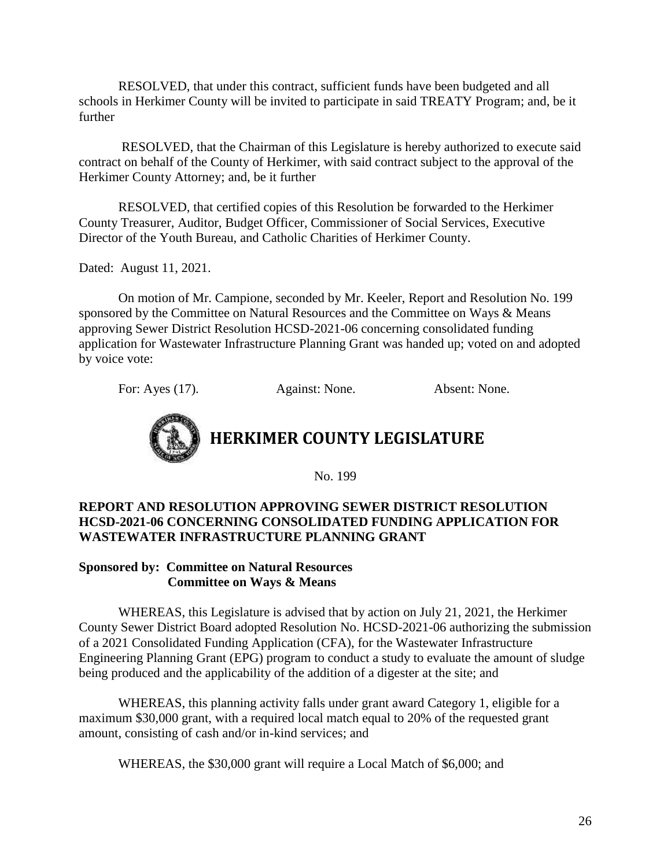RESOLVED, that under this contract, sufficient funds have been budgeted and all schools in Herkimer County will be invited to participate in said TREATY Program; and, be it further

RESOLVED, that the Chairman of this Legislature is hereby authorized to execute said contract on behalf of the County of Herkimer, with said contract subject to the approval of the Herkimer County Attorney; and, be it further

RESOLVED, that certified copies of this Resolution be forwarded to the Herkimer County Treasurer, Auditor, Budget Officer, Commissioner of Social Services, Executive Director of the Youth Bureau, and Catholic Charities of Herkimer County.

Dated: August 11, 2021.

On motion of Mr. Campione, seconded by Mr. Keeler, Report and Resolution No. 199 sponsored by the Committee on Natural Resources and the Committee on Ways & Means approving Sewer District Resolution HCSD-2021-06 concerning consolidated funding application for Wastewater Infrastructure Planning Grant was handed up; voted on and adopted by voice vote:

For: Ayes (17). Against: None. Absent: None.



No. 199

# **REPORT AND RESOLUTION APPROVING SEWER DISTRICT RESOLUTION HCSD-2021-06 CONCERNING CONSOLIDATED FUNDING APPLICATION FOR WASTEWATER INFRASTRUCTURE PLANNING GRANT**

# **Sponsored by: Committee on Natural Resources Committee on Ways & Means**

WHEREAS, this Legislature is advised that by action on July 21, 2021, the Herkimer County Sewer District Board adopted Resolution No. HCSD-2021-06 authorizing the submission of a 2021 Consolidated Funding Application (CFA), for the Wastewater Infrastructure Engineering Planning Grant (EPG) program to conduct a study to evaluate the amount of sludge being produced and the applicability of the addition of a digester at the site; and

WHEREAS, this planning activity falls under grant award Category 1, eligible for a maximum \$30,000 grant, with a required local match equal to 20% of the requested grant amount, consisting of cash and/or in-kind services; and

WHEREAS, the \$30,000 grant will require a Local Match of \$6,000; and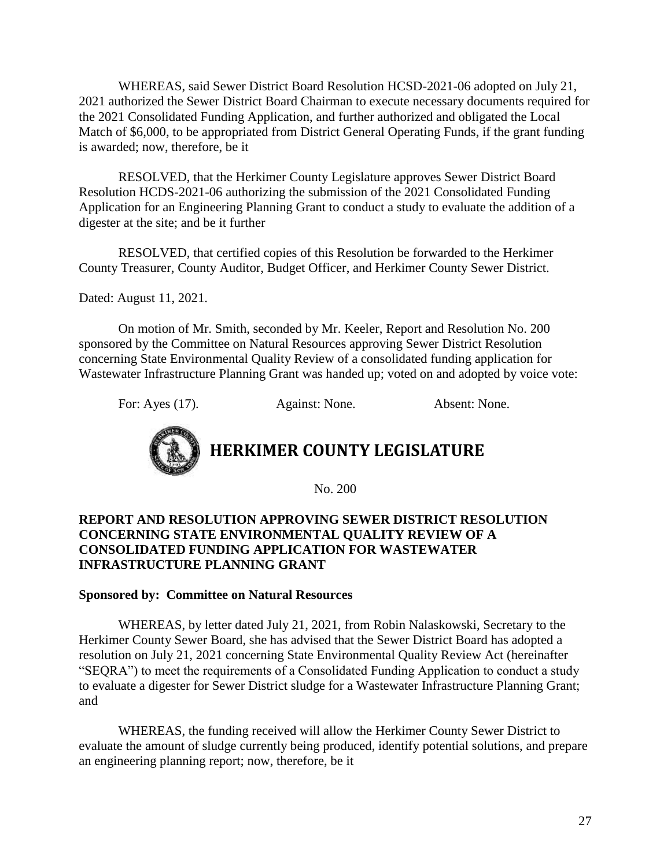WHEREAS, said Sewer District Board Resolution HCSD-2021-06 adopted on July 21, 2021 authorized the Sewer District Board Chairman to execute necessary documents required for the 2021 Consolidated Funding Application, and further authorized and obligated the Local Match of \$6,000, to be appropriated from District General Operating Funds, if the grant funding is awarded; now, therefore, be it

RESOLVED, that the Herkimer County Legislature approves Sewer District Board Resolution HCDS-2021-06 authorizing the submission of the 2021 Consolidated Funding Application for an Engineering Planning Grant to conduct a study to evaluate the addition of a digester at the site; and be it further

RESOLVED, that certified copies of this Resolution be forwarded to the Herkimer County Treasurer, County Auditor, Budget Officer, and Herkimer County Sewer District.

Dated: August 11, 2021.

On motion of Mr. Smith, seconded by Mr. Keeler, Report and Resolution No. 200 sponsored by the Committee on Natural Resources approving Sewer District Resolution concerning State Environmental Quality Review of a consolidated funding application for Wastewater Infrastructure Planning Grant was handed up; voted on and adopted by voice vote:

For: Ayes (17). Against: None. Absent: None.



No. 200

# **REPORT AND RESOLUTION APPROVING SEWER DISTRICT RESOLUTION CONCERNING STATE ENVIRONMENTAL QUALITY REVIEW OF A CONSOLIDATED FUNDING APPLICATION FOR WASTEWATER INFRASTRUCTURE PLANNING GRANT**

### **Sponsored by: Committee on Natural Resources**

WHEREAS, by letter dated July 21, 2021, from Robin Nalaskowski, Secretary to the Herkimer County Sewer Board, she has advised that the Sewer District Board has adopted a resolution on July 21, 2021 concerning State Environmental Quality Review Act (hereinafter "SEQRA") to meet the requirements of a Consolidated Funding Application to conduct a study to evaluate a digester for Sewer District sludge for a Wastewater Infrastructure Planning Grant; and

WHEREAS, the funding received will allow the Herkimer County Sewer District to evaluate the amount of sludge currently being produced, identify potential solutions, and prepare an engineering planning report; now, therefore, be it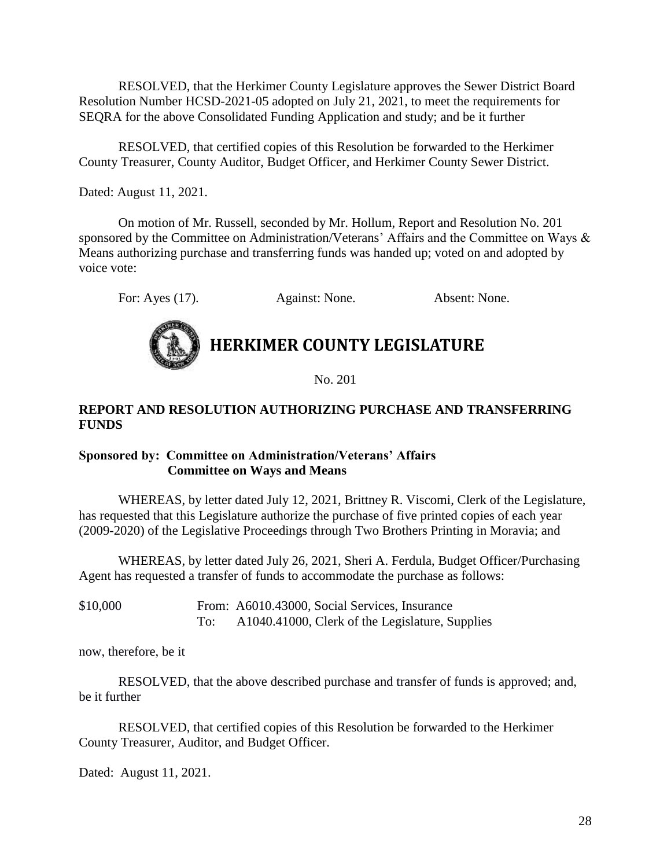RESOLVED, that the Herkimer County Legislature approves the Sewer District Board Resolution Number HCSD-2021-05 adopted on July 21, 2021, to meet the requirements for SEQRA for the above Consolidated Funding Application and study; and be it further

RESOLVED, that certified copies of this Resolution be forwarded to the Herkimer County Treasurer, County Auditor, Budget Officer, and Herkimer County Sewer District.

Dated: August 11, 2021.

On motion of Mr. Russell, seconded by Mr. Hollum, Report and Resolution No. 201 sponsored by the Committee on Administration/Veterans' Affairs and the Committee on Ways & Means authorizing purchase and transferring funds was handed up; voted on and adopted by voice vote:

For: Ayes (17). Against: None. Absent: None.



# **HERKIMER COUNTY LEGISLATURE**

No. 201

# **REPORT AND RESOLUTION AUTHORIZING PURCHASE AND TRANSFERRING FUNDS**

# **Sponsored by: Committee on Administration/Veterans' Affairs Committee on Ways and Means**

WHEREAS, by letter dated July 12, 2021, Brittney R. Viscomi, Clerk of the Legislature, has requested that this Legislature authorize the purchase of five printed copies of each year (2009-2020) of the Legislative Proceedings through Two Brothers Printing in Moravia; and

WHEREAS, by letter dated July 26, 2021, Sheri A. Ferdula, Budget Officer/Purchasing Agent has requested a transfer of funds to accommodate the purchase as follows:

\$10,000 From: A6010.43000, Social Services, Insurance To: A1040.41000, Clerk of the Legislature, Supplies

now, therefore, be it

RESOLVED, that the above described purchase and transfer of funds is approved; and, be it further

RESOLVED, that certified copies of this Resolution be forwarded to the Herkimer County Treasurer, Auditor, and Budget Officer.

Dated: August 11, 2021.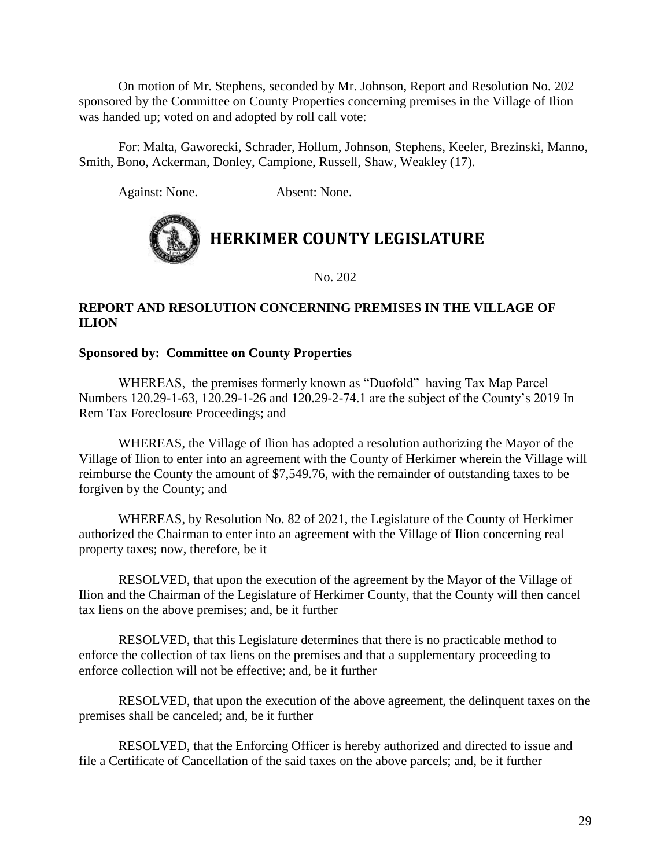On motion of Mr. Stephens, seconded by Mr. Johnson, Report and Resolution No. 202 sponsored by the Committee on County Properties concerning premises in the Village of Ilion was handed up; voted on and adopted by roll call vote:

For: Malta, Gaworecki, Schrader, Hollum, Johnson, Stephens, Keeler, Brezinski, Manno, Smith, Bono, Ackerman, Donley, Campione, Russell, Shaw, Weakley (17).

Against: None. Absent: None.



No. 202

# **REPORT AND RESOLUTION CONCERNING PREMISES IN THE VILLAGE OF ILION**

# **Sponsored by: Committee on County Properties**

WHEREAS, the premises formerly known as "Duofold" having Tax Map Parcel Numbers 120.29-1-63, 120.29-1-26 and 120.29-2-74.1 are the subject of the County's 2019 In Rem Tax Foreclosure Proceedings; and

WHEREAS, the Village of Ilion has adopted a resolution authorizing the Mayor of the Village of Ilion to enter into an agreement with the County of Herkimer wherein the Village will reimburse the County the amount of \$7,549.76, with the remainder of outstanding taxes to be forgiven by the County; and

WHEREAS, by Resolution No. 82 of 2021, the Legislature of the County of Herkimer authorized the Chairman to enter into an agreement with the Village of Ilion concerning real property taxes; now, therefore, be it

RESOLVED, that upon the execution of the agreement by the Mayor of the Village of Ilion and the Chairman of the Legislature of Herkimer County, that the County will then cancel tax liens on the above premises; and, be it further

RESOLVED, that this Legislature determines that there is no practicable method to enforce the collection of tax liens on the premises and that a supplementary proceeding to enforce collection will not be effective; and, be it further

RESOLVED, that upon the execution of the above agreement, the delinquent taxes on the premises shall be canceled; and, be it further

RESOLVED, that the Enforcing Officer is hereby authorized and directed to issue and file a Certificate of Cancellation of the said taxes on the above parcels; and, be it further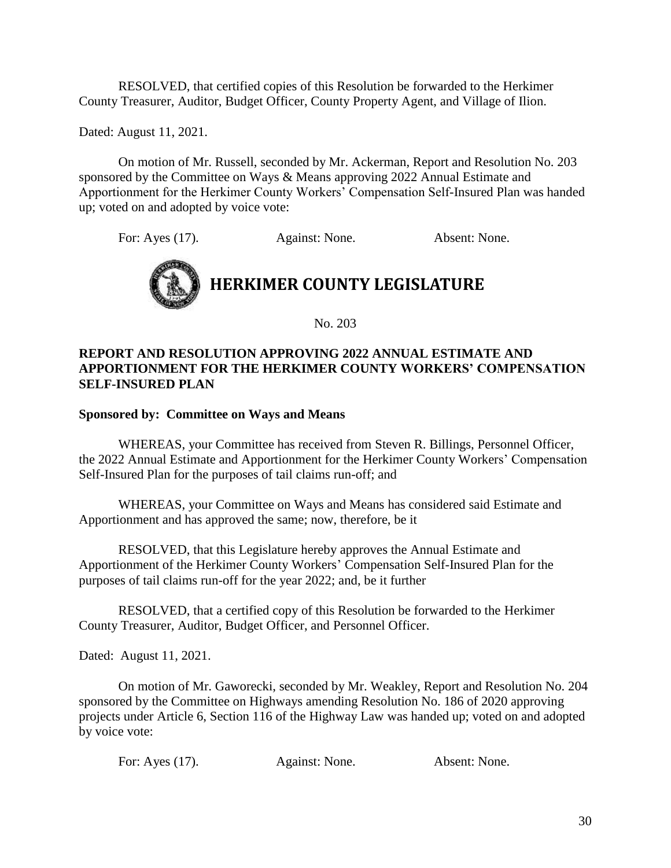RESOLVED, that certified copies of this Resolution be forwarded to the Herkimer County Treasurer, Auditor, Budget Officer, County Property Agent, and Village of Ilion.

Dated: August 11, 2021.

On motion of Mr. Russell, seconded by Mr. Ackerman, Report and Resolution No. 203 sponsored by the Committee on Ways & Means approving 2022 Annual Estimate and Apportionment for the Herkimer County Workers' Compensation Self-Insured Plan was handed up; voted on and adopted by voice vote:

For: Ayes (17). Against: None. Absent: None.



No. 203

### **REPORT AND RESOLUTION APPROVING 2022 ANNUAL ESTIMATE AND APPORTIONMENT FOR THE HERKIMER COUNTY WORKERS' COMPENSATION SELF-INSURED PLAN**

### **Sponsored by: Committee on Ways and Means**

WHEREAS, your Committee has received from Steven R. Billings, Personnel Officer, the 2022 Annual Estimate and Apportionment for the Herkimer County Workers' Compensation Self-Insured Plan for the purposes of tail claims run-off; and

WHEREAS, your Committee on Ways and Means has considered said Estimate and Apportionment and has approved the same; now, therefore, be it

RESOLVED, that this Legislature hereby approves the Annual Estimate and Apportionment of the Herkimer County Workers' Compensation Self-Insured Plan for the purposes of tail claims run-off for the year 2022; and, be it further

RESOLVED, that a certified copy of this Resolution be forwarded to the Herkimer County Treasurer, Auditor, Budget Officer, and Personnel Officer.

Dated: August 11, 2021.

On motion of Mr. Gaworecki, seconded by Mr. Weakley, Report and Resolution No. 204 sponsored by the Committee on Highways amending Resolution No. 186 of 2020 approving projects under Article 6, Section 116 of the Highway Law was handed up; voted on and adopted by voice vote:

| For: Ayes (17).<br>Against: None. | Absent: None. |
|-----------------------------------|---------------|
|-----------------------------------|---------------|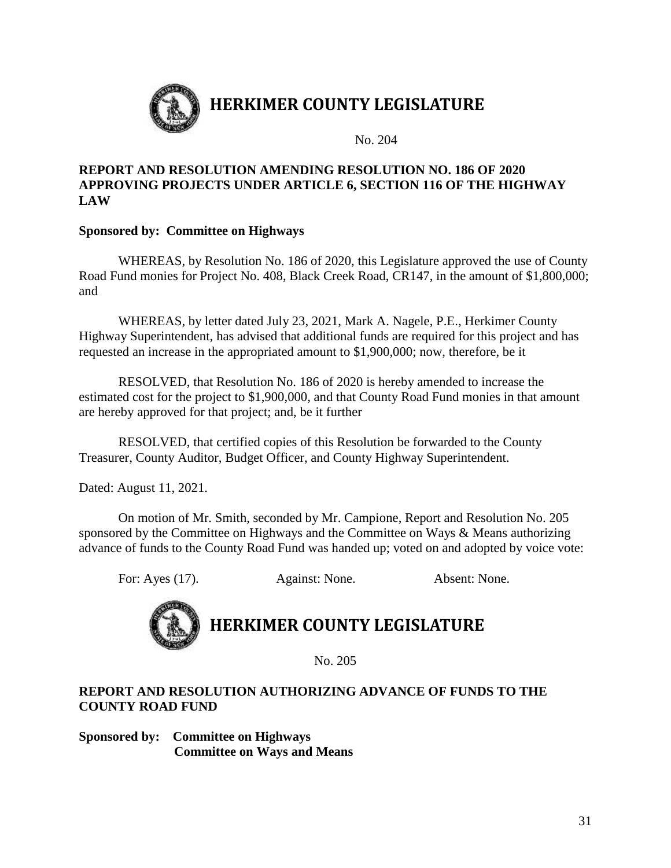

No. 204

### **REPORT AND RESOLUTION AMENDING RESOLUTION NO. 186 OF 2020 APPROVING PROJECTS UNDER ARTICLE 6, SECTION 116 OF THE HIGHWAY LAW**

# **Sponsored by: Committee on Highways**

WHEREAS, by Resolution No. 186 of 2020, this Legislature approved the use of County Road Fund monies for Project No. 408, Black Creek Road, CR147, in the amount of \$1,800,000; and

WHEREAS, by letter dated July 23, 2021, Mark A. Nagele, P.E., Herkimer County Highway Superintendent, has advised that additional funds are required for this project and has requested an increase in the appropriated amount to \$1,900,000; now, therefore, be it

RESOLVED, that Resolution No. 186 of 2020 is hereby amended to increase the estimated cost for the project to \$1,900,000, and that County Road Fund monies in that amount are hereby approved for that project; and, be it further

RESOLVED, that certified copies of this Resolution be forwarded to the County Treasurer, County Auditor, Budget Officer, and County Highway Superintendent.

Dated: August 11, 2021.

On motion of Mr. Smith, seconded by Mr. Campione, Report and Resolution No. 205 sponsored by the Committee on Highways and the Committee on Ways & Means authorizing advance of funds to the County Road Fund was handed up; voted on and adopted by voice vote:

For: Ayes (17). Against: None. Absent: None.



# **HERKIMER COUNTY LEGISLATURE**

No. 205

# **REPORT AND RESOLUTION AUTHORIZING ADVANCE OF FUNDS TO THE COUNTY ROAD FUND**

**Sponsored by: Committee on Highways Committee on Ways and Means**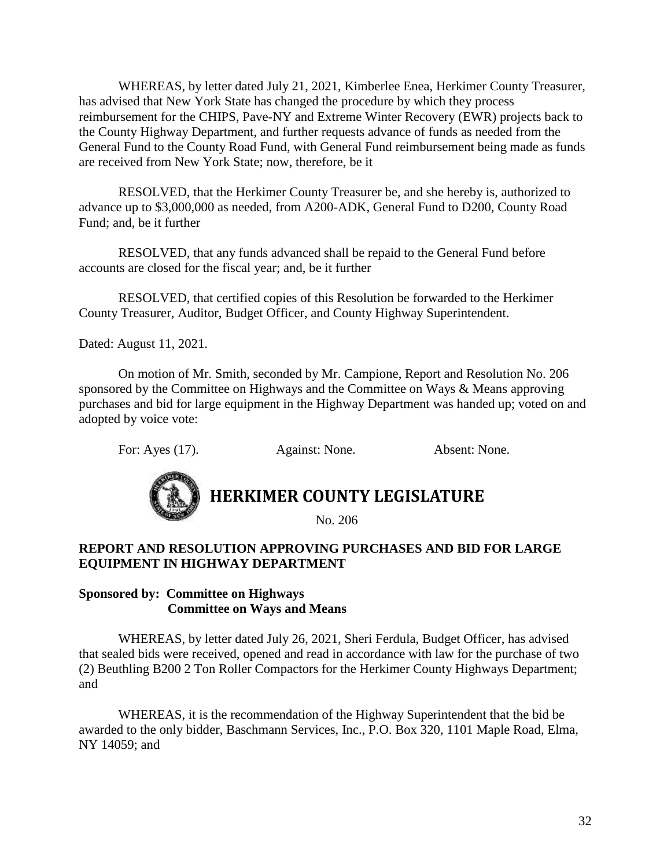WHEREAS, by letter dated July 21, 2021, Kimberlee Enea, Herkimer County Treasurer, has advised that New York State has changed the procedure by which they process reimbursement for the CHIPS, Pave-NY and Extreme Winter Recovery (EWR) projects back to the County Highway Department, and further requests advance of funds as needed from the General Fund to the County Road Fund, with General Fund reimbursement being made as funds are received from New York State; now, therefore, be it

RESOLVED, that the Herkimer County Treasurer be, and she hereby is, authorized to advance up to \$3,000,000 as needed, from A200-ADK, General Fund to D200, County Road Fund; and, be it further

RESOLVED, that any funds advanced shall be repaid to the General Fund before accounts are closed for the fiscal year; and, be it further

RESOLVED, that certified copies of this Resolution be forwarded to the Herkimer County Treasurer, Auditor, Budget Officer, and County Highway Superintendent.

Dated: August 11, 2021.

On motion of Mr. Smith, seconded by Mr. Campione, Report and Resolution No. 206 sponsored by the Committee on Highways and the Committee on Ways & Means approving purchases and bid for large equipment in the Highway Department was handed up; voted on and adopted by voice vote:

For: Ayes (17). Against: None. Absent: None.



# **HERKIMER COUNTY LEGISLATURE**

No. 206

# **REPORT AND RESOLUTION APPROVING PURCHASES AND BID FOR LARGE EQUIPMENT IN HIGHWAY DEPARTMENT**

### **Sponsored by: Committee on Highways Committee on Ways and Means**

WHEREAS, by letter dated July 26, 2021, Sheri Ferdula, Budget Officer, has advised that sealed bids were received, opened and read in accordance with law for the purchase of two (2) Beuthling B200 2 Ton Roller Compactors for the Herkimer County Highways Department; and

WHEREAS, it is the recommendation of the Highway Superintendent that the bid be awarded to the only bidder, Baschmann Services, Inc., P.O. Box 320, 1101 Maple Road, Elma, NY 14059; and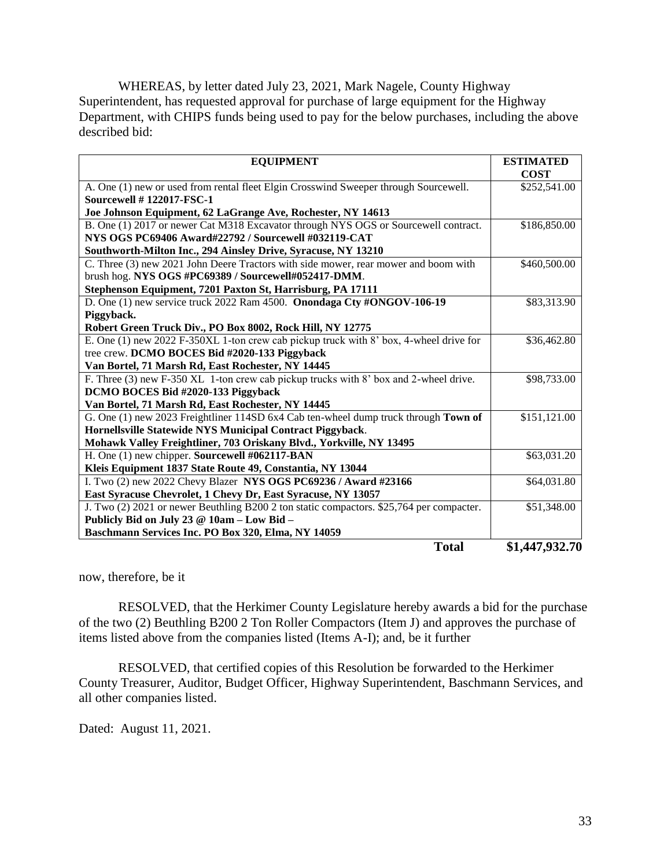WHEREAS, by letter dated July 23, 2021, Mark Nagele, County Highway Superintendent, has requested approval for purchase of large equipment for the Highway Department, with CHIPS funds being used to pay for the below purchases, including the above described bid:

| <b>EQUIPMENT</b>                                                                         | <b>ESTIMATED</b> |
|------------------------------------------------------------------------------------------|------------------|
|                                                                                          | <b>COST</b>      |
| A. One (1) new or used from rental fleet Elgin Crosswind Sweeper through Sourcewell.     | \$252,541.00     |
| <b>Sourcewell # 122017-FSC-1</b>                                                         |                  |
| Joe Johnson Equipment, 62 LaGrange Ave, Rochester, NY 14613                              |                  |
| B. One (1) 2017 or newer Cat M318 Excavator through NYS OGS or Sourcewell contract.      | \$186,850.00     |
| NYS OGS PC69406 Award#22792 / Sourcewell #032119-CAT                                     |                  |
| Southworth-Milton Inc., 294 Ainsley Drive, Syracuse, NY 13210                            |                  |
| C. Three (3) new 2021 John Deere Tractors with side mower, rear mower and boom with      | \$460,500.00     |
| brush hog. NYS OGS #PC69389 / Sourcewell#052417-DMM.                                     |                  |
| Stephenson Equipment, 7201 Paxton St, Harrisburg, PA 17111                               |                  |
| D. One (1) new service truck 2022 Ram 4500. Onondaga Cty #ONGOV-106-19                   | \$83,313.90      |
| Piggyback.                                                                               |                  |
| Robert Green Truck Div., PO Box 8002, Rock Hill, NY 12775                                |                  |
| E. One (1) new 2022 F-350XL 1-ton crew cab pickup truck with 8' box, 4-wheel drive for   | \$36,462.80      |
| tree crew. DCMO BOCES Bid #2020-133 Piggyback                                            |                  |
| Van Bortel, 71 Marsh Rd, East Rochester, NY 14445                                        |                  |
| F. Three (3) new F-350 XL 1-ton crew cab pickup trucks with 8' box and 2-wheel drive.    | \$98,733.00      |
| DCMO BOCES Bid #2020-133 Piggyback                                                       |                  |
| Van Bortel, 71 Marsh Rd, East Rochester, NY 14445                                        |                  |
| G. One (1) new 2023 Freightliner 114SD 6x4 Cab ten-wheel dump truck through Town of      | \$151,121.00     |
| Hornellsville Statewide NYS Municipal Contract Piggyback.                                |                  |
| Mohawk Valley Freightliner, 703 Oriskany Blvd., Yorkville, NY 13495                      |                  |
| H. One (1) new chipper. Sourcewell #062117-BAN                                           | \$63,031.20      |
| Kleis Equipment 1837 State Route 49, Constantia, NY 13044                                |                  |
| I. Two (2) new 2022 Chevy Blazer NYS OGS PC69236 / Award #23166                          | \$64,031.80      |
| East Syracuse Chevrolet, 1 Chevy Dr, East Syracuse, NY 13057                             |                  |
| J. Two (2) 2021 or newer Beuthling B200 2 ton static compactors. \$25,764 per compacter. | \$51,348.00      |
| Publicly Bid on July 23 @ 10am - Low Bid -                                               |                  |
| Baschmann Services Inc. PO Box 320, Elma, NY 14059                                       |                  |
| <b>Total</b>                                                                             | \$1,447,932.70   |

now, therefore, be it

RESOLVED, that the Herkimer County Legislature hereby awards a bid for the purchase of the two (2) Beuthling B200 2 Ton Roller Compactors (Item J) and approves the purchase of items listed above from the companies listed (Items A-I); and, be it further

RESOLVED, that certified copies of this Resolution be forwarded to the Herkimer County Treasurer, Auditor, Budget Officer, Highway Superintendent, Baschmann Services, and all other companies listed.

Dated: August 11, 2021.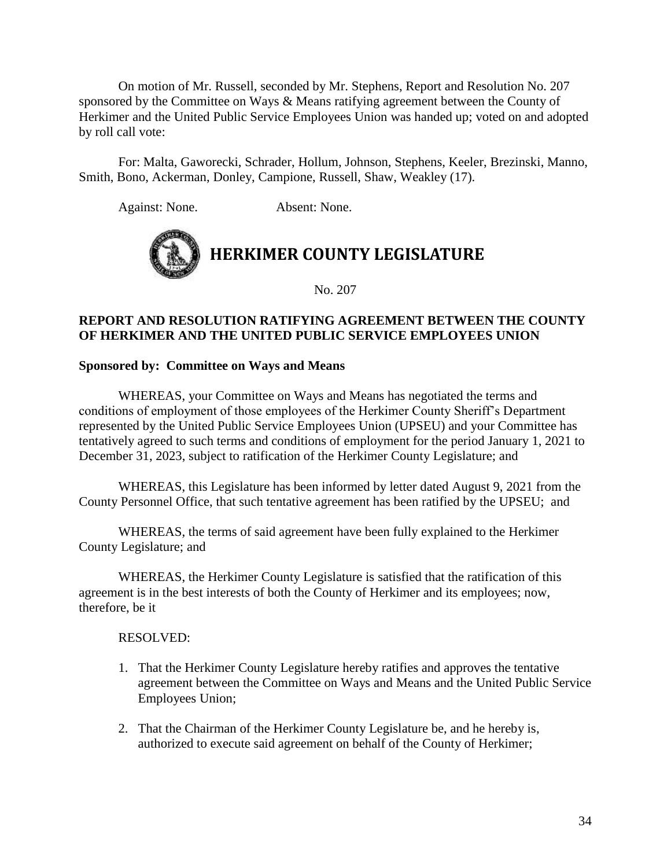On motion of Mr. Russell, seconded by Mr. Stephens, Report and Resolution No. 207 sponsored by the Committee on Ways & Means ratifying agreement between the County of Herkimer and the United Public Service Employees Union was handed up; voted on and adopted by roll call vote:

For: Malta, Gaworecki, Schrader, Hollum, Johnson, Stephens, Keeler, Brezinski, Manno, Smith, Bono, Ackerman, Donley, Campione, Russell, Shaw, Weakley (17).

Against: None. Absent: None.



No. 207

# **REPORT AND RESOLUTION RATIFYING AGREEMENT BETWEEN THE COUNTY OF HERKIMER AND THE UNITED PUBLIC SERVICE EMPLOYEES UNION**

### **Sponsored by: Committee on Ways and Means**

WHEREAS, your Committee on Ways and Means has negotiated the terms and conditions of employment of those employees of the Herkimer County Sheriff's Department represented by the United Public Service Employees Union (UPSEU) and your Committee has tentatively agreed to such terms and conditions of employment for the period January 1, 2021 to December 31, 2023, subject to ratification of the Herkimer County Legislature; and

WHEREAS, this Legislature has been informed by letter dated August 9, 2021 from the County Personnel Office, that such tentative agreement has been ratified by the UPSEU; and

WHEREAS, the terms of said agreement have been fully explained to the Herkimer County Legislature; and

WHEREAS, the Herkimer County Legislature is satisfied that the ratification of this agreement is in the best interests of both the County of Herkimer and its employees; now, therefore, be it

### RESOLVED:

- 1. That the Herkimer County Legislature hereby ratifies and approves the tentative agreement between the Committee on Ways and Means and the United Public Service Employees Union;
- 2. That the Chairman of the Herkimer County Legislature be, and he hereby is, authorized to execute said agreement on behalf of the County of Herkimer;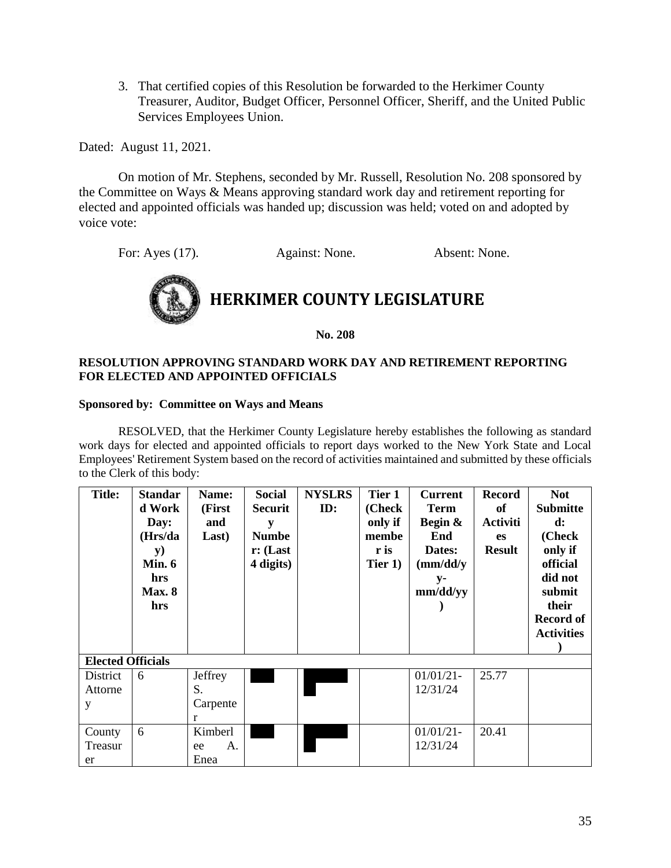3. That certified copies of this Resolution be forwarded to the Herkimer County Treasurer, Auditor, Budget Officer, Personnel Officer, Sheriff, and the United Public Services Employees Union.

Dated: August 11, 2021.

On motion of Mr. Stephens, seconded by Mr. Russell, Resolution No. 208 sponsored by the Committee on Ways & Means approving standard work day and retirement reporting for elected and appointed officials was handed up; discussion was held; voted on and adopted by voice vote:

For: Ayes (17). Against: None. Absent: None.



**No. 208**

### **RESOLUTION APPROVING STANDARD WORK DAY AND RETIREMENT REPORTING FOR ELECTED AND APPOINTED OFFICIALS**

### **Sponsored by: Committee on Ways and Means**

RESOLVED, that the Herkimer County Legislature hereby establishes the following as standard work days for elected and appointed officials to report days worked to the New York State and Local Employees' Retirement System based on the record of activities maintained and submitted by these officials to the Clerk of this body:

| <b>Title:</b>            | <b>Standar</b><br>d Work<br>Day:<br>(Hrs/da<br><b>y</b> )<br>Min. $6$<br>hrs<br><b>Max. 8</b><br>hrs | Name:<br>(First<br>and<br>Last) | <b>Social</b><br><b>Securit</b><br>y<br><b>Numbe</b><br>$\mathbf{r}$ : (Last<br>4 digits) | <b>NYSLRS</b><br>ID: | Tier 1<br>(Check<br>only if<br>membe<br>r is<br>Tier 1) | <b>Current</b><br><b>Term</b><br>Begin &<br>End<br>Dates:<br>$\frac{m\ddot{d}}{y}$<br>$y-$<br>mm/dd/yy | Record<br>of<br>Activiti<br><b>es</b><br><b>Result</b> | <b>Not</b><br><b>Submitte</b><br>$\mathbf{d}$ :<br>(Check<br>only if<br>official<br>did not<br>submit<br>their<br><b>Record of</b><br><b>Activities</b> |
|--------------------------|------------------------------------------------------------------------------------------------------|---------------------------------|-------------------------------------------------------------------------------------------|----------------------|---------------------------------------------------------|--------------------------------------------------------------------------------------------------------|--------------------------------------------------------|---------------------------------------------------------------------------------------------------------------------------------------------------------|
| <b>Elected Officials</b> |                                                                                                      |                                 |                                                                                           |                      |                                                         |                                                                                                        |                                                        |                                                                                                                                                         |
| District                 | 6                                                                                                    | Jeffrey                         |                                                                                           |                      |                                                         | $01/01/21$ -                                                                                           | 25.77                                                  |                                                                                                                                                         |
| Attorne                  |                                                                                                      | S.                              |                                                                                           |                      |                                                         | 12/31/24                                                                                               |                                                        |                                                                                                                                                         |
| y                        |                                                                                                      | Carpente                        |                                                                                           |                      |                                                         |                                                                                                        |                                                        |                                                                                                                                                         |
|                          |                                                                                                      | r                               |                                                                                           |                      |                                                         |                                                                                                        |                                                        |                                                                                                                                                         |
| County                   | 6                                                                                                    | Kimberl                         |                                                                                           |                      |                                                         | $01/01/21$ -                                                                                           | 20.41                                                  |                                                                                                                                                         |
| Treasur                  |                                                                                                      | Α.<br>ee                        |                                                                                           |                      |                                                         | 12/31/24                                                                                               |                                                        |                                                                                                                                                         |
| er                       |                                                                                                      | Enea                            |                                                                                           |                      |                                                         |                                                                                                        |                                                        |                                                                                                                                                         |